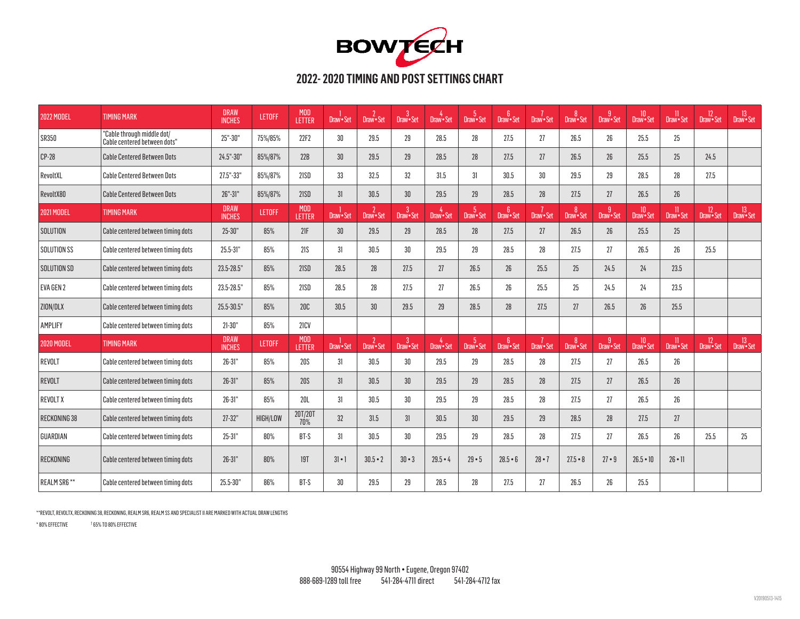

| <b>2022 MODEL</b>   | <b>TIMING MARK</b>                                         | <b>DRAW</b><br><b>INCHES</b> | <b>LETOFF</b> | <b>MOD</b><br>LETTER | Draw · Set      | $2$<br>Draw • Set            | 3<br>Draw•Set   | Draw · Set             | 5<br>Draw • Set | 6<br>Draw•Set              | 7<br>Draw•Set | 8<br>Draw•Set | g<br>Draw•Set   | 10<br>Draw•Set | 11<br>Draw • Set            | <sup>12</sup><br>Draw • Set | <sup>13</sup><br>Draw • Set |
|---------------------|------------------------------------------------------------|------------------------------|---------------|----------------------|-----------------|------------------------------|-----------------|------------------------|-----------------|----------------------------|---------------|---------------|-----------------|----------------|-----------------------------|-----------------------------|-----------------------------|
| <b>SR350</b>        | "Cable through middle dot/<br>Cable centered between dots" | 25"-30"                      | 75%/85%       | 22F2                 | 30              | 29.5                         | 29              | 28.5                   | 28              | 27.5                       | 27            | 26.5          | 26 <sup>°</sup> | 25.5           | 25                          |                             |                             |
| $CP-28$             | <b>Cable Centered Between Dots</b>                         | 24.5"-30"                    | 85%/87%       | 22B                  | 30 <sup>°</sup> | 29.5                         | 29              | 28.5                   | 28              | 27.5                       | 27            | 26.5          | 26 <sup>°</sup> | 25.5           | 25                          | 24.5                        |                             |
| RevoltXL            | <b>Cable Centered Between Dots</b>                         | 27.5"-33"                    | 85%/87%       | 21SD                 | 33              | 32.5                         | 32              | 31.5                   | 31              | 30.5                       | 30            | 29.5          | 29              | 28.5           | 28                          | 27.5                        |                             |
| RevoltX80           | <b>Cable Centered Between Dots</b>                         | $26" - 31"$                  | 85%/87%       | 21SD                 | 31              | 30.5                         | 30 <sup>°</sup> | 29.5                   | 29              | 28.5                       | 28            | 27.5          | 27              | 26.5           | 26                          |                             |                             |
| <b>2021 MODEL</b>   | <b>TIMING MARK</b>                                         | <b>DRAW</b><br><b>INCHES</b> | <b>LETOFF</b> | <b>MOD</b><br>LETTER | Draw · Set      | $\overline{2}$<br>Draw - Set | 3<br>Draw•Set   | $4$ Draw $\bullet$ Set | 5<br>Draw•Set   | 6 <sup>5</sup><br>Draw Set | 7<br>Draw•Set | 8<br>Draw•Set | g<br>Draw•Set   | 10<br>Draw•Set | <sup>11</sup><br>Draw•Set   | 12<br>Draw Set              | <sup>13</sup><br>Draw • Set |
| SOLUTION            | Cable centered between timing dots                         | $25 - 30"$                   | 85%           | 21F                  | 30 <sup>°</sup> | 29.5                         | 29              | 28.5                   | 28              | 27.5                       | 27            | 26.5          | 26 <sup>°</sup> | 25.5           | 25                          |                             |                             |
| SOLUTION SS         | Cable centered between timing dots                         | 25.5-31"                     | 85%           | 21S                  | 31              | 30.5                         | 30              | 29.5                   | 29              | 28.5                       | 28            | 27.5          | 27              | 26.5           | 26                          | 25.5                        |                             |
| SOLUTION SD         | Cable centered between timing dots                         | 23.5-28.5"                   | 85%           | 21SD                 | 28.5            | 28                           | 27.5            | 27                     | 26.5            | 26                         | 25.5          | 25            | 24.5            | 24             | 23.5                        |                             |                             |
| <b>EVA GEN 2</b>    | Cable centered between timing dots                         | 23.5-28.5"                   | 85%           | 21SD                 | 28.5            | 28                           | 27.5            | 27                     | 26.5            | 26                         | 25.5          | 25            | 24.5            | 24             | 23.5                        |                             |                             |
| ZION/DLX            | Cable centered between timing dots                         | $25.5 - 30.5$                | 85%           | 20C                  | 30.5            | 30 <sup>°</sup>              | 29.5            | 29                     | 28.5            | 28                         | 27.5          | 27            | 26.5            | 26             | $25.5\,$                    |                             |                             |
| AMPLIFY             | Cable centered between timing dots                         | $21 - 30"$                   | 85%           | 21CV                 |                 |                              |                 |                        |                 |                            |               |               |                 |                |                             |                             |                             |
| <b>2020 MODEL</b>   | <b>TIMING MARK</b>                                         | <b>DRAW</b><br><b>INCHES</b> | <b>LETOFF</b> | <b>MOD</b><br>LETTER | Draw · Set      | $2$<br>Draw • Set            | 3<br>Draw•Set   | Draw · Set             | 5<br>Draw•Set   | 6<br>Draw•Set              | 7<br>Draw•Set | 8<br>Draw•Set | g<br>Draw•Set   | 10<br>Draw•Set | <sup>11</sup><br>Draw • Set | 12<br>Draw • Set            | <sup>13</sup><br>Draw • Set |
| REVOLT              | Cable centered between timing dots                         | $26 - 31"$                   | 85%           | 20S                  | 31              | 30.5                         | 30 <sup>°</sup> | 29.5                   | 29              | 28.5                       | 28            | 27.5          | 27              | 26.5           | 26                          |                             |                             |
| REVOLT              | Cable centered between timing dots                         | $26 - 31"$                   | 85%           | 20S                  | 31              | 30.5                         | 30 <sup>°</sup> | 29.5                   | 29              | 28.5                       | 28            | 27.5          | 27              | 26.5           | 26                          |                             |                             |
| <b>REVOLT X</b>     | Cable centered between timing dots                         | $26 - 31"$                   | 85%           | 20L                  | 31              | 30.5                         | 30              | 29.5                   | 29              | 28.5                       | 28            | 27.5          | 27              | 26.5           | 26                          |                             |                             |
| <b>RECKONING 38</b> | Cable centered between timing dots                         | $27 - 32"$                   | HIGH/LOW      | 20T/20T<br>70%       | 32              | 31.5                         | 31              | 30.5                   | 30              | 29.5                       | 29            | 28.5          | 28              | 27.5           | 27                          |                             |                             |
| GUARDIAN            | Cable centered between timing dots                         | $25 - 31"$                   | 80%           | BT-S                 | 31              | 30.5                         | 30              | 29.5                   | 29              | 28.5                       | 28            | 27.5          | 27              | 26.5           | $26\,$                      | 25.5                        | 25                          |
| RECKONING           | Cable centered between timing dots                         | $26 - 31"$                   | 80%           | 19T                  | $3 - 1$         | $30.5 - 2$                   | $30 - 3$        | $29.5 - 4$             | $29 - 5$        | $28.5 - 6$                 | $28 - 7$      | $27.5 - 8$    | $27 - 9$        | $26.5 - 10$    | $26 \cdot 11$               |                             |                             |
| REALM SR6 **        | Cable centered between timing dots                         | 25.5-30"                     | 86%           | BT-S                 | 30 <sup>°</sup> | 29.5                         | 29              | 28.5                   | 28              | 27.5                       | 27            | 26.5          | 26 <sup>°</sup> | 25.5           |                             |                             |                             |

\*\*REVOLT, REVOLTX, RECKONING 38, RECKONING, REALM SR6, REALM SS AND SPECIALIST II ARE MARKED WITH ACTUAL DRAW LENGTHS

\* 80% EFFECTIVE † 65% TO 80% EFFECTIVE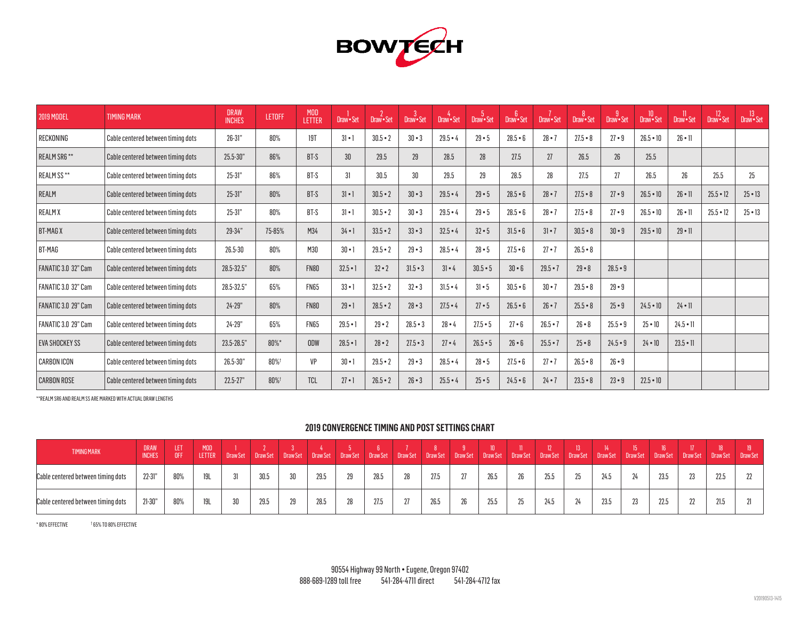

| <b>2019 MODEL</b>          | <b>TIMING MARK</b>                 | <b>DRAW</b><br><b>INCHES</b> | <b>LETOFF</b> | <b>MOD</b><br><b>LETTER</b> | Draw · Set   | Draw · Set | -3<br>Draw · Set | Draw · Set | -5<br>Draw · Set | $6^{\circ}$<br>Draw · Set | Draw · Set   | Draw · Set | Draw · Set      | Draw · Set      | Draw · Set      | 12<br>Draw · Set | <sup>13</sup><br>Draw•Set |
|----------------------------|------------------------------------|------------------------------|---------------|-----------------------------|--------------|------------|------------------|------------|------------------|---------------------------|--------------|------------|-----------------|-----------------|-----------------|------------------|---------------------------|
| RECKONING                  | Cable centered between timing dots | $26-31"$                     | 80%           | 19T                         | $3 - 1$      | $30.5 - 2$ | $30 - 3$         | $29.5 - 4$ | $29 - 5$         | $28.5 - 6$                | $28 - 7$     | $27.5 - 8$ | $27 - 9$        | $26.5 - 10$     | $26 \cdot 11$   |                  |                           |
| <b>REALM SR6**</b>         | Cable centered between timing dots | $25.5 - 30"$                 | 86%           | BT-S                        | 30           | 29.5       | 29               | 28.5       | 28               | 27.5                      | 27           | 26.5       | 26 <sup>°</sup> | 25.5            |                 |                  |                           |
| REALM SS**                 | Cable centered between timing dots | $25 - 31"$                   | 86%           | BT-S                        | 31           | 30.5       | 30               | 29.5       | 29               | 28.5                      | 28           | 27.5       | 27              | 26.5            | 26              | 25.5             | 25                        |
| <b>REALM</b>               | Cable centered between timing dots | $25 - 31"$                   | 80%           | BT-S                        | $3! \cdot 1$ | $30.5 - 2$ | $30 \cdot 3$     | $29.5 - 4$ | $29 - 5$         | $28.5 - 6$                | $28 - 7$     | $27.5 - 8$ | $27 - 9$        | $26.5 - 10$     | $26 \cdot 11$   | $25.5 - 12$      | $25 - 13$                 |
| <b>REALMX</b>              | Cable centered between timing dots | $25 - 31"$                   | 80%           | BT-S                        | $3 - 1$      | $30.5 - 2$ | $30 \cdot 3$     | $29.5 - 4$ | $29 - 5$         | $28.5 - 6$                | $28 - 7$     | $27.5 - 8$ | $27 - 9$        | $26.5 - 10$     | $26 - 11$       | $25.5 - 12$      | $25 - 13$                 |
| <b>BT-MAGX</b>             | Cable centered between timing dots | 29-34"                       | 75-85%        | M34                         | $34 \cdot 1$ | $33.5 - 2$ | $33 - 3$         | $32.5 - 4$ | $32 - 5$         | $31.5 - 6$                | $31 \cdot 7$ | $30.5 - 8$ | $30 - 9$        | $29.5 - 10$     | $29 - 11$       |                  |                           |
| BT-MAG                     | Cable centered between timing dots | 26.5-30                      | 80%           | M30                         | $30 \cdot 1$ | $29.5 - 2$ | $29 - 3$         | $28.5 - 4$ | $28 - 5$         | $27.5 - 6$                | $27 - 7$     | $26.5 - 8$ |                 |                 |                 |                  |                           |
| <b>FANATIC 3.0 32" Cam</b> | Cable centered between timing dots | 28.5-32.5"                   | 80%           | <b>FN80</b>                 | $32.5 - 1$   | $32 - 2$   | $31.5 - 3$       | $31 - 4$   | $30.5 - 5$       | $30 - 6$                  | $29.5 - 7$   | $29 - 8$   | $28.5 - 9$      |                 |                 |                  |                           |
| <b>FANATIC 3.0 32" Cam</b> | Cable centered between timing dots | 28.5-32.5"                   | 65%           | <b>FN65</b>                 | $33 - 1$     | $32.5 - 2$ | $32 - 3$         | $31.5 - 4$ | $31 \cdot 5$     | $30.5 - 6$                | $30 \cdot 7$ | $29.5 - 8$ | $29 - 9$        |                 |                 |                  |                           |
| <b>FANATIC 3.0 29" Cam</b> | Cable centered between timing dots | $24 - 29"$                   | 80%           | <b>FN80</b>                 | $29 - 1$     | $28.5 - 2$ | $28 - 3$         | $27.5 - 4$ | $27 - 5$         | $26.5 - 6$                | $26 \cdot 7$ | $25.5 - 8$ | $25 - 9$        | $24.5 \cdot 10$ | $24 \cdot 11$   |                  |                           |
| <b>FANATIC 3.0 29" Cam</b> | Cable centered between timing dots | $24 - 29"$                   | 65%           | <b>FN65</b>                 | $29.5 - 1$   | $29 - 2$   | $28.5 - 3$       | $28 - 4$   | $27.5 - 5$       | $27 - 6$                  | $26.5 - 7$   | $26 - 8$   | $25.5 - 9$      | $25 \cdot 10$   | $24.5 \cdot 11$ |                  |                           |
| <b>EVA SHOCKEY SS</b>      | Cable centered between timing dots | 23.5-28.5"                   | $80\%$ *      | ODW                         | $28.5 - 1$   | $28 - 2$   | $27.5 - 3$       | $27 - 4$   | $26.5 - 5$       | $26 - 6$                  | $25.5 - 7$   | $25 - 8$   | $24.5 - 9$      | $24 \cdot 10$   | $23.5 \cdot 11$ |                  |                           |
| <b>CARBON ICON</b>         | Cable centered between timing dots | 26.5-30"                     | 80%†          | VP                          | $30 \cdot 1$ | $29.5 - 2$ | $29 - 3$         | $28.5 - 4$ | $28 - 5$         | $27.5 - 6$                | $27 - 7$     | $26.5 - 8$ | $26 \cdot 9$    |                 |                 |                  |                           |
| <b>CARBON ROSE</b>         | Cable centered between timing dots | $22.5 - 27"$                 | 80%†          | <b>TCL</b>                  | $27 \cdot 1$ | $26.5 - 2$ | $26 - 3$         | $25.5 - 4$ | $25 - 5$         | $24.5 - 6$                | $24 - 7$     | $23.5 - 8$ | $23 - 9$        | $22.5 - 10$     |                 |                  |                           |

\*\*REALM SR6 AND REALM SS ARE MARKED WITH ACTUAL DRAW LENGTHS

### **2019 CONVERGENCE TIMING AND POST SETTINGS CHART**

| <b>TIMING MARK</b>                 | <b>DRAW</b><br><b>INCHES</b> | LE  | <b>MOD</b><br><b>LETTER</b> | Draw Set | Draw Set | Draw Set | Draw Set | Draw Set | Draw Set | <b>DrawSet</b> | Draw Set               | Draw Set | Draw Set | Draw Set     | Draw Set        | Draw Set | Draw Set | <b>DrawSet</b> | Draw Set | Draw Set | Draw Set Draw Set |  |
|------------------------------------|------------------------------|-----|-----------------------------|----------|----------|----------|----------|----------|----------|----------------|------------------------|----------|----------|--------------|-----------------|----------|----------|----------------|----------|----------|-------------------|--|
| Cable centered between timing dots | $22 - 31"$                   | 80% |                             |          | 30.5     |          | 29.5     | 29       | 28.5     | 28             | 27.5                   |          | 26.5     | nn<br>۷J     |                 | $25\,$   | 24.5     |                | 23.5     | nn       | 22.5              |  |
| Cable centered between timing dots | $21 - 30"$                   | 80% |                             |          | 29.5     | ΔU       | 28.5     | 28       | 27.5     | 27             | 0 <sup>0</sup><br>Zb.5 | 26       | 25.5     | $\sim$<br>ΔU | 01 <sub>F</sub> |          | 23.5     | วว             | 22.5     |          | 21.5              |  |

\* 80% EFFECTIVE † 65% TO 80% EFFECTIVE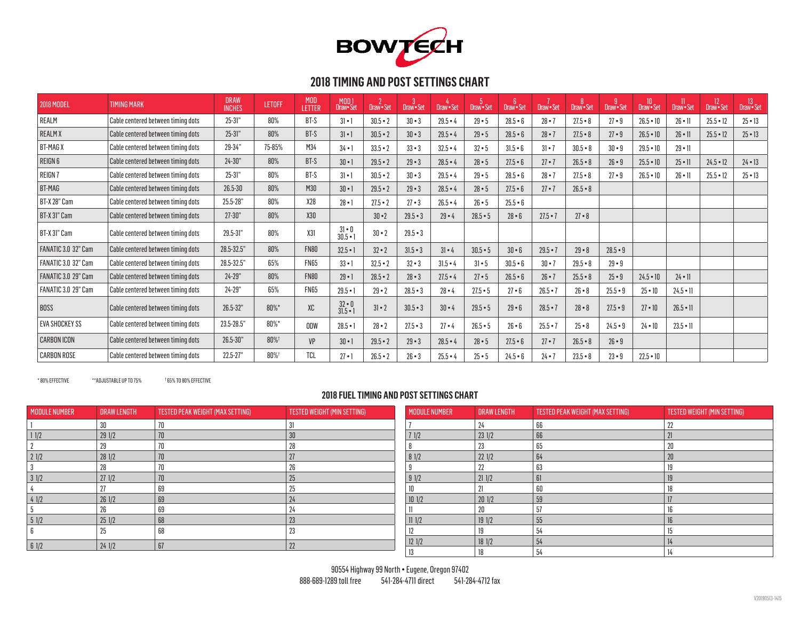

| <b>2018 MODEL</b>          | <b>TIMING MARK</b>                 | <b>DRAW</b><br><b>INCHES</b> | <b>LETOFF</b> | <b>MOD</b><br><b>LETTER</b> | MOD 1<br>Draw• Set             | Draw · Set   | Draw • Set   | Draw · Set | Draw · Set   | Draw · Set   | Draw · Set   | Draw · Set   | Draw · Set | $\overline{10}$<br>Draw · Set | Draw · Set      | 12<br>Draw • Set | <sup>13</sup><br>Draw • Set |
|----------------------------|------------------------------------|------------------------------|---------------|-----------------------------|--------------------------------|--------------|--------------|------------|--------------|--------------|--------------|--------------|------------|-------------------------------|-----------------|------------------|-----------------------------|
| REALM                      | Cable centered between timing dots | $25 - 31"$                   | 80%           | BT-S                        | $3 - 1$                        | $30.5 - 2$   | $30 \cdot 3$ | $29.5 - 4$ | $29 - 5$     | $28.5 - 6$   | $28 - 7$     | $27.5 - 8$   | $27 - 9$   | $26.5 - 10$                   | $26 \cdot 11$   | $25.5 - 12$      | $25 - 13$                   |
| <b>REALMX</b>              | Cable centered between timing dots | $25 - 31"$                   | 80%           | BT-S                        | $31 \cdot 1$                   | $30.5 - 2$   | $30 \cdot 3$ | $29.5 - 4$ | $29 - 5$     | $28.5 - 6$   | $28 - 7$     | $27.5 - 8$   | $27 - 9$   | $26.5 - 10$                   | $26 \cdot 11$   | $25.5 - 12$      | $25 \cdot 13$               |
| <b>BT-MAGX</b>             | Cable centered between timing dots | 29-34"                       | 75-85%        | M34                         | $34 \cdot 1$                   | $33.5 - 2$   | $33 \cdot 3$ | $32.5 - 4$ | $32 - 5$     | $31.5 - 6$   | $31 \cdot 7$ | $30.5 - 8$   | $30 - 9$   | $29.5 - 10$                   | $29 - 11$       |                  |                             |
| REIGN <sub>6</sub>         | Cable centered between timing dots | $24 - 30"$                   | 80%           | BT-S                        | $30 \cdot 1$                   | $29.5 - 2$   | $29 - 3$     | $28.5 - 4$ | $28 - 5$     | $27.5 - 6$   | $27 - 7$     | $26.5 - 8$   | $26 - 9$   | $25.5 - 10$                   | $25 \cdot 11$   | $24.5 - 12$      | $24 \cdot 13$               |
| <b>REIGN7</b>              | Cable centered between timing dots | $25 - 31"$                   | 80%           | BT-S                        | $31 \cdot 1$                   | $30.5 - 2$   | $30 \cdot 3$ | $29.5 - 4$ | $29 - 5$     | $28.5 - 6$   | $28 - 7$     | $27.5 - 8$   | $27 - 9$   | $26.5 - 10$                   | $26 \cdot 11$   | $25.5 - 12$      | $25 - 13$                   |
| BT-MAG                     | Cable centered between timing dots | $26.5 - 30$                  | 80%           | M30                         | $30 \cdot 1$                   | $29.5 - 2$   | $29 \cdot 3$ | $28.5 - 4$ | $28 - 5$     | $27.5 - 6$   | $27 - 7$     | $26.5 - 8$   |            |                               |                 |                  |                             |
| BT-X 28" Cam               | Cable centered between timing dots | 25.5-28"                     | 80%           | X28                         | $28 - 1$                       | $27.5 - 2$   | $27 \cdot 3$ | $26.5 - 4$ | $26 \cdot 5$ | $25.5 - 6$   |              |              |            |                               |                 |                  |                             |
| BT-X 31" Cam               | Cable centered between timing dots | $27 - 30"$                   | 80%           | X30                         |                                | $30 - 2$     | $29.5 - 3$   | $29 - 4$   | $28.5 - 5$   | $28 \cdot 6$ | $27.5 - 7$   | $27 \cdot 8$ |            |                               |                 |                  |                             |
| BT-X 31" Cam               | Cable centered between timing dots | 29.5-31"                     | 80%           | X31                         | $31 \cdot 0$<br>30.5 $\cdot$ 1 | $30 - 2$     | $29.5 - 3$   |            |              |              |              |              |            |                               |                 |                  |                             |
| FANATIC 3.0 32" Cam        | Cable centered between timing dots | 28.5-32.5"                   | 80%           | <b>FN80</b>                 | $32.5 - 1$                     | $32 - 2$     | $31.5 - 3$   | $31 - 4$   | $30.5 - 5$   | $30 - 6$     | $29.5 - 7$   | $29 - 8$     | $28.5 - 9$ |                               |                 |                  |                             |
| FANATIC 3.0 32" Cam        | Cable centered between timing dots | 28.5-32.5"                   | 65%           | <b>FN65</b>                 | $33 - 1$                       | $32.5 - 2$   | $32 \cdot 3$ | $31.5 - 4$ | $31 - 5$     | $30.5 - 6$   | $30 - 7$     | $29.5 - 8$   | $29 - 9$   |                               |                 |                  |                             |
| <b>FANATIC 3.0 29" Cam</b> | Cable centered between timing dots | $24 - 29"$                   | 80%           | <b>FN80</b>                 | $29 - 1$                       | $28.5 - 2$   | $28 \cdot 3$ | $27.5 - 4$ | $27 \cdot 5$ | $26.5 - 6$   | $26 - 7$     | $25.5 - 8$   | $25 - 9$   | $24.5 \cdot 10$               | $24 \cdot 11$   |                  |                             |
| FANATIC 3.0 29" Cam        | Cable centered between timing dots | $24 - 29"$                   | 65%           | <b>FN65</b>                 | $29.5 - 1$                     | $29 - 2$     | $28.5 - 3$   | $28 - 4$   | $27.5 - 5$   | $27 - 6$     | $26.5 - 7$   | $26 - 8$     | $25.5 - 9$ | $25 \cdot 10$                 | $24.5 \cdot 11$ |                  |                             |
| <b>BOSS</b>                | Cable centered between timing dots | 26.5-32"                     | 80%*          | XC                          | $32 \cdot 0$<br>$31.5 - 1$     | $31 \cdot 2$ | $30.5 - 3$   | $30 - 4$   | $29.5 - 5$   | $29 - 6$     | $28.5 - 7$   | $28 - 8$     | $27.5 - 9$ | $27 \cdot 10$                 | $26.5 \cdot 11$ |                  |                             |
| EVA SHOCKEY SS             | Cable centered between timing dots | 23.5-28.5"                   | $80\%$ *      | ODW                         | $28.5 - 1$                     | $28 - 2$     | $27.5 - 3$   | $27 - 4$   | $26.5 - 5$   | $26 - 6$     | $25.5 - 7$   | $25 - 8$     | $24.5 - 9$ | $24 \cdot 10$                 | $23.5 - 11$     |                  |                             |
| <b>CARBON ICON</b>         | Cable centered between timing dots | 26.5-30"                     | 80%†          | VP                          | $30 \cdot 1$                   | $29.5 - 2$   | $29 \cdot 3$ | $28.5 - 4$ | $28 - 5$     | $27.5 - 6$   | $27 - 7$     | $26.5 - 8$   | $26 - 9$   |                               |                 |                  |                             |
| <b>CARBON ROSE</b>         | Cable centered between timing dots | $22.5 - 27"$                 | 80%†          | <b>TCL</b>                  | $27 \cdot 1$                   | $26.5 - 2$   | $26 \cdot 3$ | $25.5 - 4$ | $25 - 5$     | $24.5 - 6$   | $24 - 7$     | $23.5 - 8$   | $23 - 9$   | $22.5 - 10$                   |                 |                  |                             |

\* 80% EFFECTIVE \*\*ADJUSTABLE UP TO 75% †

65% TO 80% EFFECTIVE

| <b>MODULE NUMBER</b> | <b>DRAW LENGTH</b> | TESTED PEAK WEIGHT (MAX SETTING) | TESTED WEIGHT (MIN SETTING) | <b>MODULE NUMBER</b> | <b>DRAW LENGTH</b> | TESTED PEAK WEIGHT (MAX SETTING) | TESTED WEIGHT (MIN SETTING) |
|----------------------|--------------------|----------------------------------|-----------------------------|----------------------|--------------------|----------------------------------|-----------------------------|
|                      |                    |                                  |                             |                      |                    |                                  | 22                          |
| 11/2                 | 291/2              | 70                               | 30                          | 71/2                 | 231/2              | 66                               |                             |
|                      |                    |                                  |                             |                      |                    | n.                               | 20                          |
| 21/2                 | 281/2              | 70                               |                             | 81/2                 | 221/2              | 64                               | 20                          |
|                      |                    |                                  | $\sim$                      |                      |                    |                                  |                             |
| 31/2                 | 271/2              | 70                               |                             | 91/2                 | 211/2              |                                  |                             |
|                      |                    | 69                               |                             |                      |                    |                                  |                             |
| 41/2                 | 261/2              | 69                               | 24                          | 101/2                | 201/2              | 59                               |                             |
|                      |                    | 69                               | Z4                          |                      | 20                 |                                  |                             |
| 51/2                 | 251/2              | 68                               | 23                          | 111/2                | 191/2              |                                  |                             |
|                      | 25                 | 68                               | 23                          |                      |                    |                                  |                             |
| 61/2                 | 241/2              | 67                               | 22                          | 121/2                | 181/2              | 54                               |                             |
|                      |                    |                                  |                             |                      |                    |                                  |                             |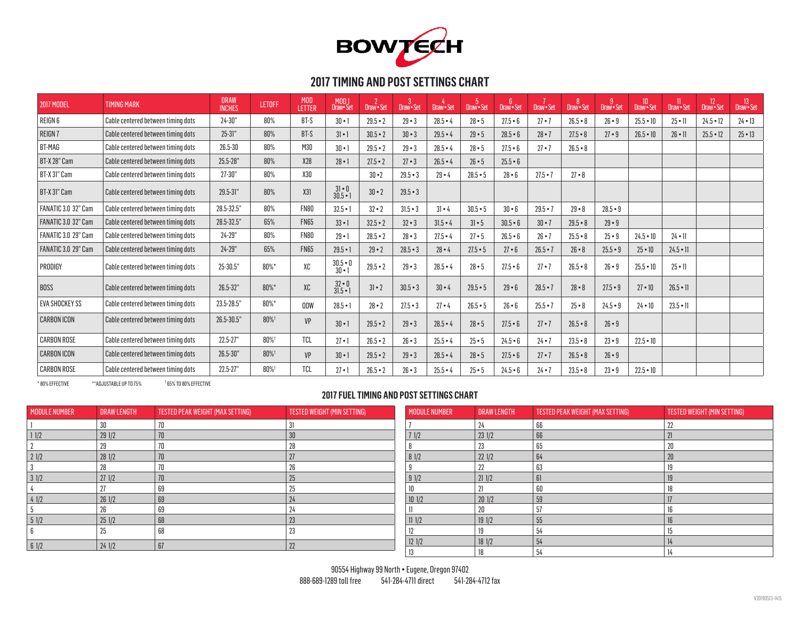

| <b>2017 MODEL</b>     | <b>TIMING MARK</b>                 | <b>DRAW</b><br><b>INCHES</b> | <b>LETOFF</b> | <b>MOD</b><br>LETTER | MOD <sub>1</sub><br>Draw• Set  | Draw-Set     | $\mathbf{3}$<br>Draw · Set | Draw · Set   | 5<br>Draw · Set | -6<br>Draw · Set | Draw · Set   | Draw · Set | Draw · Set | 10<br>Draw•Set | Draw · Set      | 12<br>Draw · Set | <sup>13</sup><br>Draw•Set |
|-----------------------|------------------------------------|------------------------------|---------------|----------------------|--------------------------------|--------------|----------------------------|--------------|-----------------|------------------|--------------|------------|------------|----------------|-----------------|------------------|---------------------------|
| REIGN 6               | Cable centered between timing dots | $24 - 30"$                   | 80%           | BT-S                 | $30 \cdot 1$                   | $29.5 - 2$   | $29 - 3$                   | $28.5 - 4$   | $28 - 5$        | $27.5 - 6$       | $27 - 7$     | $26.5 - 8$ | $26 - 9$   | $25.5 - 10$    | $25 \cdot 11$   | $24.5 - 12$      | $24 \cdot 13$             |
| REIGN 7               | Cable centered between timing dots | $25 - 31"$                   | 80%           | BT-S                 | $31 \cdot 1$                   | $30.5 - 2$   | $30 - 3$                   | $29.5 - 4$   | $29 - 5$        | $28.5 - 6$       | $28 - 7$     | $27.5 - 8$ | $27 - 9$   | $26.5 - 10$    | $26 \cdot 11$   | $25.5 - 12$      | $25 - 13$                 |
| BT-MAG                | Cable centered between timing dots | 26.5-30                      | 80%           | M30                  | $30 \cdot 1$                   | $29.5 - 2$   | $29 - 3$                   | $28.5 - 4$   | $28 - 5$        | $27.5 - 6$       | $27 - 7$     | $26.5 - 8$ |            |                |                 |                  |                           |
| BT-X 28" Cam          | Cable centered between timing dots | 25.5-28"                     | 80%           | X28                  | $28 - 1$                       | $27.5 - 2$   | $27 - 3$                   | $26.5 - 4$   | $26 - 5$        | $25.5 - 6$       |              |            |            |                |                 |                  |                           |
| BT-X 31" Cam          | Cable centered between timing dots | $27 - 30"$                   | 80%           | X30                  |                                | $30 - 2$     | $29.5 - 3$                 | $29 - 4$     | $28.5 - 5$      | $28 - 6$         | $27.5 - 7$   | $27 - 8$   |            |                |                 |                  |                           |
| BT-X 31" Cam          | Cable centered between timing dots | 29.5-31"                     | 80%           | X31                  | $31 \cdot 0$<br>$30.5 - 1$     | $30 \cdot 2$ | $29.5 - 3$                 |              |                 |                  |              |            |            |                |                 |                  |                           |
| FANATIC 3.0 32" Cam   | Cable centered between timing dots | 28.5-32.5"                   | 80%           | <b>FN80</b>          | $32.5 - 1$                     | $32 - 2$     | $31.5 - 3$                 | $31 - 4$     | $30.5 - 5$      | $30 - 6$         | $29.5 - 7$   | $29 - 8$   | $28.5 - 9$ |                |                 |                  |                           |
| FANATIC 3.0 32" Cam   | Cable centered between timing dots | 28.5-32.5"                   | 65%           | <b>FN65</b>          | $33 - 1$                       | $32.5 - 2$   | $32 - 3$                   | $31.5 - 4$   | $31 \cdot 5$    | $30.5 - 6$       | $30 \cdot 7$ | $29.5 - 8$ | $29 - 9$   |                |                 |                  |                           |
| FANATIC 3.0 29" Cam   | Cable centered between timing dots | 24-29"                       | 80%           | <b>FN80</b>          | $29 - 1$                       | $28.5 - 2$   | $28 - 3$                   | $27.5 - 4$   | $27 - 5$        | $26.5 - 6$       | $26 - 7$     | $25.5 - 8$ | $25 - 9$   | $24.5 - 10$    | $24 \cdot 11$   |                  |                           |
| FANATIC 3.0 29" Cam   | Cable centered between timing dots | $24 - 29"$                   | 65%           | <b>FN65</b>          | $29.5 - 1$                     | $29 - 2$     | $28.5 - 3$                 | $28 - 4$     | $27.5 - 5$      | $27 - 6$         | $26.5 - 7$   | $26 - 8$   | $25.5 - 9$ | $25 - 10$      | $24.5 \cdot 11$ |                  |                           |
| PRODIGY               | Cable centered between timing dots | 25-30.5"                     | 80%*          | XC                   | $30.5 \cdot 0$<br>$30 \cdot 1$ | $29.5 - 2$   | $29 - 3$                   | $28.5 - 4$   | $28 - 5$        | $27.5 - 6$       | $27 - 7$     | $26.5 - 8$ | $26 - 9$   | $25.5 - 10$    | $25 \cdot 11$   |                  |                           |
| <b>BOSS</b>           | Cable centered between timing dots | $26.5 - 32"$                 | $80\%$ *      | XC                   | $32 \cdot 0$<br>$31.5 - 1$     | $31 - 2$     | $30.5 - 3$                 | $30 - 4$     | $29.5 - 5$      | $29 - 6$         | $28.5 - 7$   | $28 - 8$   | $27.5 - 9$ | $27 \cdot 10$  | $26.5 \cdot 11$ |                  |                           |
| <b>EVA SHOCKEY SS</b> | Cable centered between timing dots | 23.5-28.5"                   | 80%*          | ODW                  | $28.5 - 1$                     | $28 - 2$     | $27.5 - 3$                 | $27 \cdot 4$ | $26.5 - 5$      | 26 • 6           | $25.5 - 7$   | $25 - 8$   | $24.5 - 9$ | $24 \cdot 10$  | $23.5 \cdot 11$ |                  |                           |
| <b>CARBON ICON</b>    | Cable centered between timing dots | 26.5-30.5"                   | 80%†          | VP                   | $30 \cdot 1$                   | $29.5 - 2$   | $29 - 3$                   | $28.5 - 4$   | $28 - 5$        | $27.5 - 6$       | $27 - 7$     | $26.5 - 8$ | $26 - 9$   |                |                 |                  |                           |
| <b>CARBON ROSE</b>    | Cable centered between timing dots | $22.5 - 27"$                 | 80%†          | <b>TCL</b>           | $27 - 1$                       | $26.5 - 2$   | $26 - 3$                   | $25.5 - 4$   | $25 - 5$        | $24.5 - 6$       | $24 - 7$     | $23.5 - 8$ | $23 - 9$   | $22.5 - 10$    |                 |                  |                           |
| <b>CARBON ICON</b>    | Cable centered between timing dots | 26.5-30"                     | 80%           | <b>VP</b>            | $30 \cdot 1$                   | $29.5 - 2$   | $29 - 3$                   | $28.5 - 4$   | $28 \cdot 5$    | $27.5 - 6$       | $27 - 7$     | $26.5 - 8$ | $26 - 9$   |                |                 |                  |                           |
| <b>CARBON ROSE</b>    | Cable centered between timing dots | $22.5 - 27"$                 | 80%           | <b>TCL</b>           | $27 \cdot 1$                   | $26.5 - 2$   | $26 - 3$                   | $25.5 - 4$   | $25 - 5$        | $24.5 - 6$       | $24 - 7$     | $23.5 - 8$ | $23 - 9$   | $22.5 - 10$    |                 |                  |                           |

\* 80% EFFECTIVE \*\*ADJUSTABLE UP TO 75% †

65% TO 80% EFFECTIVE

| <b>MODULE NUMBER</b> | <b>DRAW LENGTH</b> | TESTED PEAK WEIGHT (MAX SETTING) | TESTED WEIGHT (MIN SETTING) | <b>MODULE NUMBER</b> | <b>DRAW LENGTH</b> | TESTED PEAK WEIGHT (MAX SETTING) | TESTED WEIGHT (MIN SETTING) |
|----------------------|--------------------|----------------------------------|-----------------------------|----------------------|--------------------|----------------------------------|-----------------------------|
|                      |                    |                                  | $^{\circ}$ 1                |                      |                    | 66                               | 22                          |
| 11/2                 | 291/2              | 70                               |                             | 71/2                 | 231/2              | 66                               | 2 <sup>1</sup>              |
|                      |                    |                                  | nn                          |                      |                    |                                  | 20                          |
| 21/2                 | 281/2              | 70                               | $\mathcal{L}$               | 81/2                 | 221/2              | 64                               | 20                          |
|                      |                    |                                  | nn.<br>Zu                   |                      |                    | 63                               |                             |
| 31/2                 | 271/2              | 70                               | ZJ.                         | 91/2                 | 211/2              |                                  | $\mathbf{1}$                |
|                      |                    | 69                               | 7.                          |                      |                    |                                  |                             |
| 41/2                 | 261/2              | 69                               | 24                          | 101/2                | 201/2              | 59                               | 17                          |
|                      |                    | 69                               |                             |                      |                    |                                  |                             |
| 51/2                 | 251/2              | 68                               | 23                          | 111/2                | 19 1/2             | 55                               | 16                          |
|                      |                    | 68                               | 23                          |                      |                    |                                  |                             |
| 61/2                 | 241/2              | 67                               | 22                          | 121/2                | 18 1/2             | 54                               | 14                          |
|                      |                    |                                  |                             |                      |                    |                                  | 14                          |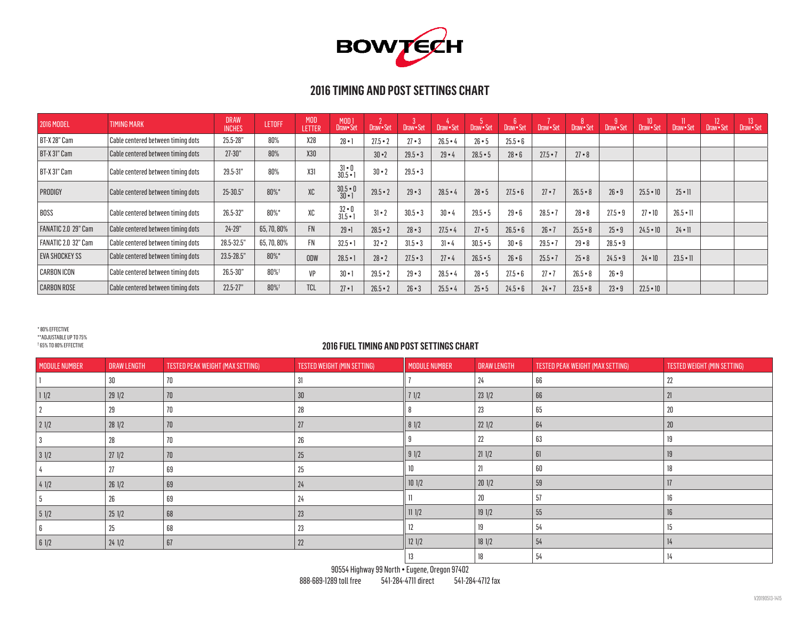

| <b>2016 MODEL</b>          | <b>TIMING MARK</b>                 | <b>DRAW</b><br><b>INCHES</b> | <b>LETOFF</b> | <b>MOD</b><br>LETTER | MOD 1<br>Draw•Set              | Draw - Set   | Draw Set   | Draw • Set | Draw Set     | Draw · Set   | Draw Set     | Draw · Set   | -9<br>Draw Set | 10 <sup>°</sup><br>Draw Set | $\mathbf{u}$<br>Draw Set | 12 <sup>°</sup><br>Draw Set | 13<br>Draw Set |
|----------------------------|------------------------------------|------------------------------|---------------|----------------------|--------------------------------|--------------|------------|------------|--------------|--------------|--------------|--------------|----------------|-----------------------------|--------------------------|-----------------------------|----------------|
| BT-X 28" Cam               | Cable centered between timing dots | 25.5-28"                     | 80%           | X28                  | $28 - 1$                       | $27.5 - 2$   | $27 - 3$   | $26.5 - 4$ | $26 - 5$     | $25.5 - 6$   |              |              |                |                             |                          |                             |                |
| BT-X 31" Cam               | Cable centered between timing dots | $27 - 30"$                   | 80%           | X30                  |                                | $30 - 2$     | $29.5 - 3$ | $29 - 4$   | $28.5 - 5$   | $28 \cdot 6$ | $27.5 - 7$   | $27 \cdot 8$ |                |                             |                          |                             |                |
| BT-X 31" Cam               | Cable centered between timing dots | 29.5-31"                     | 80%           | X31                  | $31 \cdot 0$<br>$30.5 - 1$     | $30 - 2$     | $29.5 - 3$ |            |              |              |              |              |                |                             |                          |                             |                |
| PRODIGY                    | Cable centered between timing dots | 25-30.5"                     | 80%*          | XC                   | $30.5 \cdot 0$<br>$30 \cdot 1$ | $29.5 - 2$   | $29 - 3$   | $28.5 - 4$ | $28 - 5$     | $27.5 - 6$   | $27 - 7$     | $26.5 - 8$   | $26 \cdot 9$   | $25.5 - 10$                 | $25 \cdot 11$            |                             |                |
| <b>BOSS</b>                | Cable centered between timing dots | 26.5-32"                     | 80%*          | XC                   | $32 \cdot 0$<br>$31.5 - 1$     | $31 \cdot 2$ | $30.5 - 3$ | $30 - 4$   | $29.5 - 5$   | $29 - 6$     | $28.5 - 7$   | $28 - 8$     | $27.5 - 9$     | $27 \cdot 10$               | $26.5 \cdot 11$          |                             |                |
| FANATIC 2.0 29" Cam        | Cable centered between timing dots | $24 - 29"$                   | 65, 70, 80%   | FN.                  | $29 - 1$                       | $28.5 - 2$   | $28 - 3$   | $27.5 - 4$ | $27 \cdot 5$ | $26.5 - 6$   | $26 \cdot 7$ | $25.5 - 8$   | $25 \cdot 9$   | $24.5 \cdot 10$             | $24 \cdot 11$            |                             |                |
| <b>FANATIC 2.0 32" Cam</b> | Cable centered between timing dots | 28.5-32.5"                   | 65, 70, 80%   | FN                   | $32.5 - 1$                     | $32 \cdot 2$ | $31.5 - 3$ | $31 - 4$   | $30.5 - 5$   | $30 - 6$     | $29.5 - 7$   | $29 - 8$     | $28.5 - 9$     |                             |                          |                             |                |
| <b>EVA SHOCKEY SS</b>      | Cable centered between timing dots | 23.5-28.5"                   | 80%*          | ODW                  | $28.5 - 1$                     | $28 - 2$     | $27.5 - 3$ | $27 - 4$   | $26.5 - 5$   | $26 \cdot 6$ | $25.5 - 7$   | $25 - 8$     | $24.5 - 9$     | $24 \cdot 10$               | $23.5 \cdot 11$          |                             |                |
| <b>CARBON ICON</b>         | Cable centered between timing dots | 26.5-30"                     | 80%           | VP                   | $30 \cdot 1$                   | $29.5 - 2$   | $29 - 3$   | $28.5 - 4$ | $28 - 5$     | $27.5 - 6$   | $27 - 7$     | $26.5 - 8$   | $26 \cdot 9$   |                             |                          |                             |                |
| <b>CARBON ROSE</b>         | Cable centered between timing dots | $22.5 - 27"$                 | 80%           | <b>TCL</b>           | $27 \cdot 1$                   | $26.5 - 2$   | $26 - 3$   | $25.5 - 4$ | $25 \cdot 5$ | $24.5 - 6$   | $24 - 7$     | $23.5 - 8$   | $23 - 9$       | $22.5 \cdot 10$             |                          |                             |                |

\* 80% EFFECTIVE \*\*ADJUSTABLE UP TO 75%

† 65% TO 80% EFFECTIVE

| <b>MODULE NUMBER</b>  | <b>DRAW LENGTH</b> | TESTED PEAK WEIGHT (MAX SETTING) | TESTED WEIGHT (MIN SETTING) | <b>MODULE NUMBER</b> | <b>DRAW LENGTH</b> | TESTED PEAK WEIGHT (MAX SETTING) | TESTED WEIGHT (MIN SETTING) |
|-----------------------|--------------------|----------------------------------|-----------------------------|----------------------|--------------------|----------------------------------|-----------------------------|
|                       | 30                 | 70                               | 31                          |                      | 24                 | 66                               | 22                          |
| $\vert$ 1 $\vert$ 1/2 | 291/2              | 70                               | 30 <sup>°</sup>             | 71/2                 | $23 \frac{1}{2}$   | 66                               | 21                          |
|                       | 29                 | 70                               | 28                          |                      | 23                 | 65                               | $20\,$                      |
| 21/2                  | 281/2              | 70                               | 27                          | 81/2                 | 221/2              | 64                               | 20                          |
|                       | 28                 | 70                               | 26                          |                      | 22                 | 63                               | 19                          |
| 31/2                  | 271/2              | 70                               | 25                          | 91/2                 | 211/2              | 61                               | 19                          |
|                       | 27                 | 69                               | 25                          |                      |                    | 60                               | 18                          |
| 41/2                  | 261/2              | 69                               | 24                          | 101/2                | 201/2              | 59                               | 17                          |
|                       | 26                 | 69                               | 24                          |                      | $20\,$             | 57                               | 16                          |
| 51/2                  | 251/2              | 68                               | 23                          | 111/2                | 191/2              | 55                               | 16                          |
|                       | 25                 | 68                               | 23                          | 12                   |                    | 54                               | 15                          |
| 61/2                  | 241/2              | 67                               | 22                          | 121/2                | $18 \frac{1}{2}$   | 54                               | 14                          |
|                       |                    |                                  |                             | 13                   | 18                 | 54                               | 14                          |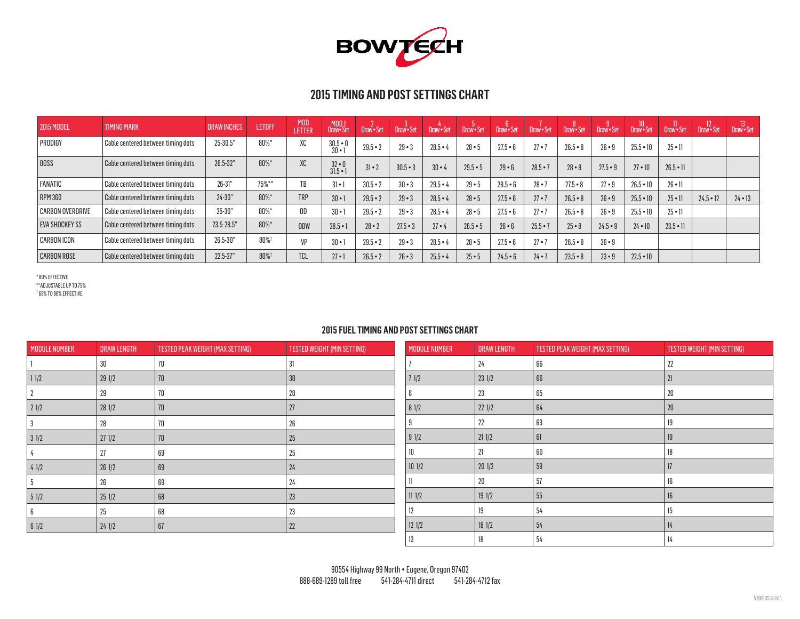

| <b>2015 MODEL</b>       | <b>TIMING MARK</b>                        | <b>DRAW INCHES</b> | <b>LETOFF</b> | <b>MOD</b><br>LETTER | /MOD<br>Draw Set           | Draw · Set | Draw · Set | Draw Set   | Draw · Set | 6<br>Draw•Set | Draw • Set   | 8<br>Draw•Set | Draw · Set | 10<br>Draw•Set  | Draw Set        | Draw Set    | Draw Set      |
|-------------------------|-------------------------------------------|--------------------|---------------|----------------------|----------------------------|------------|------------|------------|------------|---------------|--------------|---------------|------------|-----------------|-----------------|-------------|---------------|
| PRODIGY                 | Cable centered between timing dots        | 25-30.5"           | $80\%$ *      | XC                   | $30.5 - 0$<br>$30 -$       | $29.5 - 2$ | $29 - 3$   | $28.5 - 4$ | $28 - 5$   | $27.5 - 6$    | $27 - 7$     | $26.5 - 8$    | $26 - 9$   | $25.5 - 10$     | $25 \cdot 11$   |             |               |
| <b>BOSS</b>             | $\mid$ Cable centered between timing dots | $26.5 - 32"$       | $80\%$ *      | XC                   | $32 \cdot 0$<br>$31.5 - 1$ | $31 - 2$   | $30.5 - 3$ | $30 - 4$   | $29.5 - 5$ | $29 - 6$      | $28.5 - 7$   | $28 - 8$      | $27.5 - 9$ | $27 \cdot 10$   | $26.5 \cdot 11$ |             |               |
| FANATIC                 | Cable centered between timing dots        | $26 - 31"$         | 75%**         | TB                   | $3 - 1$                    | $30.5 - 2$ | $30 - 3$   | $29.5 - 4$ | $29 - 5$   | $28.5 - 6$    | $28 - 7$     | $27.5 - 8$    | $27 - 9$   | $26.5 - 10$     | $26 \cdot 11$   |             |               |
| <b>RPM 360</b>          | Cable centered between timing dots        | $24 - 30"$         | $80\%$ *      | <b>TRP</b>           | $30 - 1$                   | $29.5 - 2$ | $29 - 3$   | $28.5 - 4$ | $28 - 5$   | $27.5 - 6$    | $27 \cdot 7$ | $26.5 - 8$    | $26 - 9$   | $25.5 - 10$     | $25 \cdot 11$   | $24.5 - 12$ | $24 \cdot 13$ |
| <b>CARBON OVERDRIVE</b> | $\mid$ Cable centered between timing dots | $25 - 30"$         | $80\%$ *      | OD                   | $30 \cdot 1$               | $29.5 - 2$ | $29 - 3$   | $28.5 - 4$ | $28 - 5$   | $27.5 - 6$    | $27 - 7$     | $26.5 - 8$    | $26 - 9$   | $25.5 - 10$     | $25 \cdot 11$   |             |               |
| <b>EVA SHOCKEY SS</b>   | Cable centered between timing dots        | 23.5-28.5"         | $80\%$ *      | ODW                  | $28.5 - 1$                 | $28 - 2$   | $27.5 - 3$ | $27 - 4$   | $26.5 - 5$ | $26 - 6$      | $25.5 - 7$   | $25 - 8$      | $24.5 - 9$ | $24 \cdot 10$   | $23.5 \cdot 11$ |             |               |
| <b>CARBON ICON</b>      | Cable centered between timing dots        | 26.5-30"           | 80%           | VP                   | $30 -$                     | $29.5 - 2$ | $29 - 3$   | $28.5 - 4$ | $28 - 5$   | $27.5 - 6$    | $27 - 7$     | $26.5 - 8$    | $26 - 9$   |                 |                 |             |               |
| <b>CARBON ROSE</b>      | Cable centered between timing dots        | $22.5 - 27"$       | 80%           | <b>TCL</b>           | $27 \cdot$                 | $26.5 - 2$ | $26 - 3$   | $25.5 - 4$ | $25 - 5$   | $24.5 - 6$    | $24 - 7$     | $23.5 - 8$    | $23 - 9$   | $22.5 \cdot 10$ |                 |             |               |

\* 80% EFFECTIVE \*\*ADJUSTABLE UP TO 75% † 65% TO 80% EFFECTIVE

| <b>MODULE NUMBER</b> | <b>DRAW LENGTH</b> | TESTED PEAK WEIGHT (MAX SETTING) | TESTED WEIGHT (MIN SETTING) | <b>MODULE NUMBER</b> | <b>DRAW LENGTH</b> | TESTED PEAK WEIGHT (MAX SETTING) |
|----------------------|--------------------|----------------------------------|-----------------------------|----------------------|--------------------|----------------------------------|
|                      | 30                 | 70                               | 31                          |                      | 24                 | 66                               |
| 11/2                 | 291/2              | 70                               | 30                          | $71/2$               | 231/2              | 66                               |
|                      | 29                 | 70                               | 28                          |                      | 23                 | 65                               |
| 21/2                 | 281/2              | 70                               | 27                          | 81/2                 | 221/2              | 64                               |
|                      | 28                 | 70                               | 26                          |                      | 22                 | 63                               |
| 31/2                 | 271/2              | 70                               | 25                          | 91/2                 | 211/2              | 61                               |
|                      |                    | 69                               | 25                          | 10                   |                    | 60                               |
| 41/2                 | 261/2              | 69                               | 24                          | 101/2                | 201/2              | 59                               |
|                      | 26                 | 69                               | 24                          |                      | 20                 | 57                               |
| 51/2                 | 251/2              | 68                               | 23                          | 111/2                | 191/2              | 55                               |
|                      | 25                 | 68                               | 23                          | 12                   | 19                 | 54                               |
| 61/2                 | 241/2              | 67                               | 22                          | 121/2                | 181/2              | 54                               |
|                      |                    |                                  |                             | 13                   | 18                 | 54                               |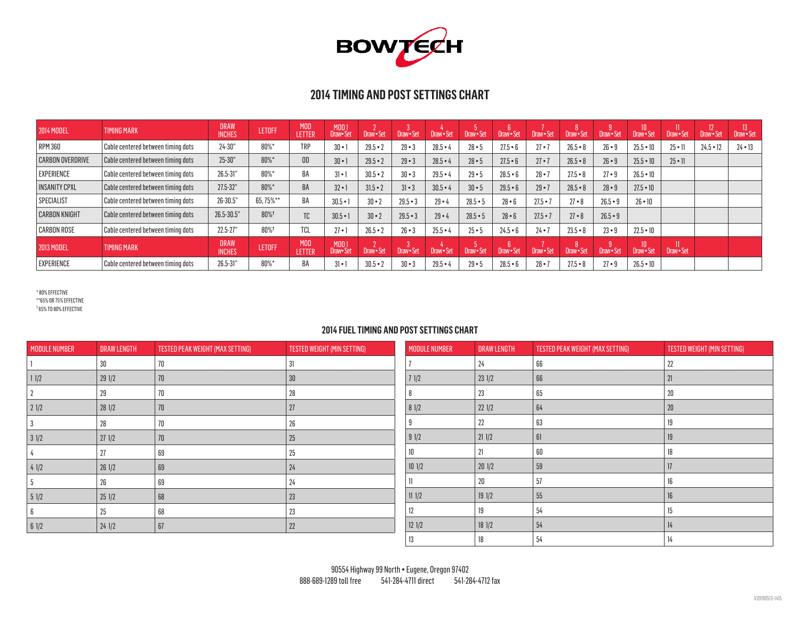

| <b>2014 MODEL</b>       | <b>TIMING MARK</b>                        | <b>DRAW</b><br><b>INCHES</b> | <b>LETOFF</b> | <b>MOD</b><br>LETTER        | MOD <sub>1</sub><br>Draw•Set | Draw · Set   | Draw · Set   | Draw · Set | Draw • Set   | Draw · Set | Draw · Set | Draw · Set | Draw · Set | 10 <sup>°</sup><br>Draw Set | Draw Set      | Draw · Set  | Draw Set      |
|-------------------------|-------------------------------------------|------------------------------|---------------|-----------------------------|------------------------------|--------------|--------------|------------|--------------|------------|------------|------------|------------|-----------------------------|---------------|-------------|---------------|
| <b>RPM 360</b>          | Cable centered between timing dots        | $24 - 30"$                   | $80\%$ *      | <b>TRP</b>                  | $30 - 1$                     | $29.5 - 2$   | $29 - 3$     | $28.5 - 4$ | $28 - 5$     | $27.5 - 6$ | $27 - 7$   | $26.5 - 8$ | $26 - 9$   | $25.5 - 10$                 | $25 - 11$     | $24.5 - 12$ | $24 \cdot 13$ |
| <b>CARBON OVERDRIVE</b> | $\mid$ Cable centered between timing dots | $25 - 30"$                   | 80%*          | 0 <sub>D</sub>              | $30 - 1$                     | $29.5 - 2$   | $29 - 3$     | $28.5 - 4$ | $28 - 5$     | $27.5 - 6$ | $27 - 7$   | $26.5 - 8$ | $26 - 9$   | $25.5 - 10$                 | $25 \cdot 11$ |             |               |
| <b>EXPERIENCE</b>       | Cable centered between timing dots        | 26.5-31"                     | 80%*          | BA                          | $31 \cdot 1$                 | $30.5 - 2$   | $30 - 3$     | $29.5 - 4$ | $29 - 5$     | $28.5 - 6$ | $28 - 7$   | $27.5 - 8$ | $27 - 9$   | $26.5 - 10$                 |               |             |               |
| <b>INSANITY CPXL</b>    | Cable centered between timing dots        | 27.5-32"                     | $80\%$ *      | BA                          | $32 - 1$                     | $31.5 - 2$   | $31 - 3$     | $30.5 - 4$ | $30 \cdot 5$ | $29.5 - 6$ | $29 - 7$   | $28.5 - 8$ | $28 - 9$   | $27.5 \cdot 10$             |               |             |               |
| <b>SPECIALIST</b>       | $\mid$ Cable centered between timing dots | 26-30.5"                     | 65.75%**      | BA                          | $30.5 - 1$                   | $30 \cdot 2$ | $29.5 - 3$   | $29 - 4$   | $28.5 - 5$   | $28 - 6$   | $27.5 - 7$ | $27 - 8$   | $26.5 - 9$ | $26 \cdot 10$               |               |             |               |
| <b>CARBON KNIGHT</b>    | Cable centered between timing dots        | 26.5-30.5"                   | 80%+          | TC.                         | $30.5 - 1$                   | $30 \cdot 2$ | $29.5 - 3$   | $29 - 4$   | $28.5 - 5$   | $28 - 6$   | $27.5 - 7$ | $27 - 8$   | $26.5 - 9$ |                             |               |             |               |
| <b>CARBON ROSE</b>      | Cable centered between timing dots        | $22.5 - 27"$                 | 80%+          | <b>TCL</b>                  | $27 - 1$                     | $26.5 - 2$   | $26 - 3$     | $25.5 - 4$ | $25 - 5$     | $24.5 - 6$ | $24 - 7$   | $23.5 - 8$ | $23 - 9$   | $22.5 \cdot 10$             |               |             |               |
| <b>2013 MODEL</b>       | <b>TIMING MARK</b>                        | <b>DRAW</b><br><b>INCHES</b> | <b>LETOFF</b> | <b>MOD</b><br><b>LETTER</b> | MOD <sub>1</sub><br>Draw•Set | Draw - Set   | Draw Set     | Draw · Set | Draw · Set   | Draw · Set | Draw · Set | Draw Set   | Draw · Set | 10<br>Draw•Set              | Draw Set      |             |               |
| EXPERIENCE              | Cable centered between timing dots_       | 26.5-31"                     | 80%*          | BA                          | $31 \cdot 1$                 | $30.5 - 2$   | $30 \cdot 3$ | $29.5 - 4$ | $29 - 5$     | $28.5 - 6$ | $28 - 7$   | $27.5 - 8$ | $27 - 9$   | $26.5 - 10$                 |               |             |               |

\* 80% EFFECTIVE \*\*65% OR 75% EFFECTIVE † 65% TO 80% EFFECTIVE

| <b>MODULE NUMBER</b> | <b>DRAW LENGTH</b> | TESTED PEAK WEIGHT (MAX SETTING) | TESTED WEIGHT (MIN SETTING) | <b>MODULE NUMBER</b> | <b>DRAW LENGTH</b> | TESTED PEAK WEIGHT (MAX SETTING) | TESTED WEIGHT (MIN SETTING) |
|----------------------|--------------------|----------------------------------|-----------------------------|----------------------|--------------------|----------------------------------|-----------------------------|
|                      | 30                 | 70                               | 31                          |                      | 24                 | 66                               | 22                          |
| 11/2                 | 291/2              | 70                               | 30                          |                      | $23 \frac{1}{2}$   | 66                               | 21                          |
|                      | 29                 | 70                               | 28                          |                      | 23                 | 65                               | 20                          |
| 21/2                 | 281/2              | 70                               | 27                          | 81/2                 | 221/2              | 64                               | 20                          |
|                      | 28                 | 70                               | 26                          |                      | 22                 | 63                               | 19                          |
| 31/2                 | 271/2              | 70                               | 25                          | 91/2                 | 211/2              | 61                               | 19                          |
|                      | 27                 | 69                               | 25                          | 10                   | 21                 | 60                               | 18                          |
| 41/2                 | 261/2              | 69                               | 24                          | 101/2                | 201/2              | 59                               | 17                          |
|                      | 26                 | 69                               | 24                          |                      | 20                 | 57                               | 16                          |
| 51/2                 | 251/2              | 68                               | 23                          | 111/2                | 191/2              | 55                               | 16                          |
|                      | 25                 | 68                               | 23                          | 12                   | 19                 | 54                               | 15                          |
| 61/2                 | 241/2              | 67                               | $22\,$                      | 121/2                | 181/2              | 54                               | 14                          |
|                      |                    |                                  |                             | 13                   | 18                 | 54                               | 14                          |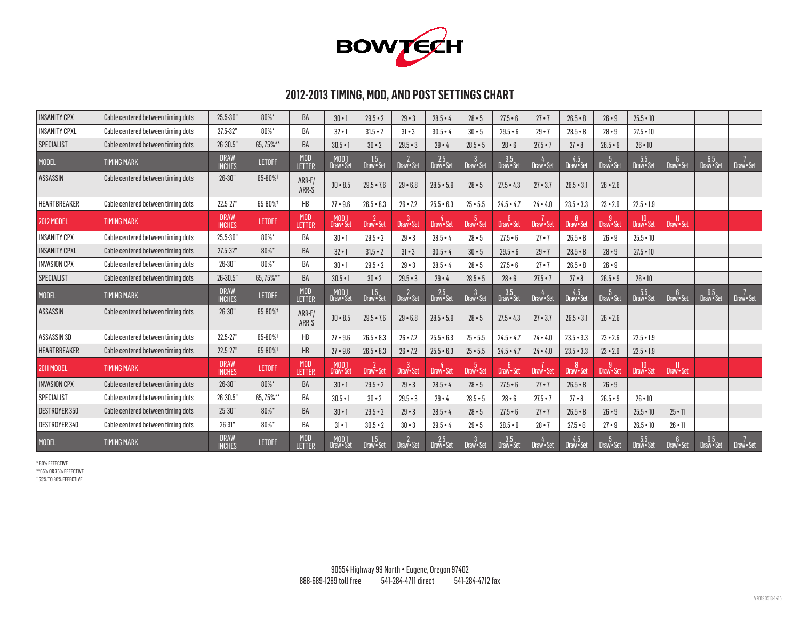

# **2012-2013 TIMING, MOD, AND POST SETTINGS CHART**

| <b>INSANITY CPX</b>  | Cable centered between timing dots | 25.5-30"                     | 80%*          | BA                   | $30 - 1$                     | $29.5 - 2$        | $29 - 3$          | $28.5 - 4$          | $28 - 5$        | $27.5 - 6$          | $27 \cdot 7$ | $26.5 - 8$        | $26 \cdot 9$                 | $25.5 - 10$     |                           |                 |               |
|----------------------|------------------------------------|------------------------------|---------------|----------------------|------------------------------|-------------------|-------------------|---------------------|-----------------|---------------------|--------------|-------------------|------------------------------|-----------------|---------------------------|-----------------|---------------|
| <b>INSANITY CPXL</b> | Cable centered between timing dots | 27.5-32"                     | 80%*          | BA                   | $32 \cdot 1$                 | $31.5 - 2$        | $31 - 3$          | $30.5 - 4$          | $30 - 5$        | $29.5 - 6$          | $29 - 7$     | $28.5 - 8$        | $28 - 9$                     | $27.5 \cdot 10$ |                           |                 |               |
| SPECIALIST           | Cable centered between timing dots | $26 - 30.5$                  | 65.75%**      | BA                   | $30.5 - 1$                   | $30 \cdot 2$      | $29.5 - 3$        | $29 - 4$            | $28.5 - 5$      | $28 - 6$            | $27.5 - 7$   | $27 - 8$          | $26.5 - 9$                   | $26 \cdot 10$   |                           |                 |               |
| <b>MODEL</b>         | <b>TIMING MARK</b>                 | <b>DRAW</b><br><b>INCHES</b> | <b>LETOFF</b> | <b>MOD</b><br>LETTER | MOD 1<br>Draw • Set          | 1.5<br>Draw•Set   | Draw · Set        | $2.5$<br>Draw • Set | Draw · Set      | 3.5<br>Draw • Set   | Draw · Set   | 4.5<br>Draw • Set | Draw · Set                   | 5.5<br>Draw•Set | $6^{\circ}$<br>Draw · Set | 6.5<br>Draw•Set | 7<br>Draw•Set |
| <b>ASSASSIN</b>      | Cable centered between timing dots | $26 - 30"$                   | 65-80%        | ARR-F/<br>ARR-S      | $30 - 8.5$                   | $29.5 - 7.6$      | $29 - 6.8$        | $28.5 - 5.9$        | $28 - 5$        | $27.5 - 4.3$        | $27 - 3.7$   | $26.5 - 3.1$      | $26 \cdot 2.6$               |                 |                           |                 |               |
| HEARTBREAKER         | Cable centered between timing dots | $22.5 - 27"$                 | 65-80%        | HB                   | $27 - 9.6$                   | $26.5 - 8.3$      | $26 - 7.2$        | $25.5 - 6.3$        | $25 - 5.5$      | $24.5 - 4.7$        | $24 - 4.0$   | $23.5 - 3.3$      | $23 - 2.6$                   | $22.5 - 1.9$    |                           |                 |               |
| <b>2012 MODEL</b>    | <b>TIMING MARK</b>                 | <b>DRAW</b><br><b>INCHES</b> | <b>LETOFF</b> | <b>MOD</b><br>LETTER | MOD 1<br>Draw• Set           | $2$<br>Draw • Set | 3<br>Draw•Set     | Draw - Set          | 5<br>Draw • Set | 6<br>Draw•Set       | Draw · Set   | Draw · Set        | g<br>Draw•Set                | 10<br>Draw•Set  | <sup>11</sup><br>Draw•Set |                 |               |
| <b>INSANITY CPX</b>  | Cable centered between timing dots | 25.5-30"                     | 80%*          | BA                   | $30 - 1$                     | $29.5 - 2$        | $29 - 3$          | $28.5 - 4$          | $28 - 5$        | $27.5 - 6$          | $27 - 7$     | $26.5 - 8$        | $26 - 9$                     | $25.5 - 10$     |                           |                 |               |
| <b>INSANITY CPXL</b> | Cable centered between timing dots | 27.5-32"                     | 80%*          | BA                   | $32 \cdot 1$                 | $31.5 - 2$        | $31 \cdot 3$      | $30.5 - 4$          | $30 - 5$        | $29.5 - 6$          | $29 - 7$     | $28.5 - 8$        | $28 - 9$                     | $27.5 \cdot 10$ |                           |                 |               |
| <b>INVASION CPX</b>  | Cable centered between timing dots | $26 - 30"$                   | 80%*          | BA                   | $30 - 1$                     | $29.5 - 2$        | $29 - 3$          | $28.5 - 4$          | $28 - 5$        | $27.5 - 6$          | $27 - 7$     | $26.5 - 8$        | $26 - 9$                     |                 |                           |                 |               |
| SPECIALIST           | Cable centered between timing dots | $26 - 30.5$                  | 65.75%**      | BA                   | $30.5 - 1$                   | $30 \cdot 2$      | $29.5 - 3$        | $29 - 4$            | $28.5 - 5$      | $28 - 6$            | $27.5 - 7$   | $27 - 8$          | $26.5 - 9$                   | $26 \cdot 10$   |                           |                 |               |
| <b>MODEL</b>         | <b>TIMING MARK</b>                 | <b>DRAW</b><br><b>INCHES</b> | <b>LETOFF</b> | <b>MOD</b><br>LETTER | MOD 1<br>Draw • Set          | 1.5<br>Draw•Set   | $2$<br>Draw • Set | $2.5$<br>Draw • Set | Draw · Set      | $3.5$<br>Draw • Set | Draw · Set   | 4.5<br>Draw•Set   | 5 <sup>5</sup><br>Draw · Set | 5.5<br>Draw•Set | $6^{\circ}$<br>Draw · Set | 6.5<br>Draw•Set | 7<br>Draw•Set |
| <b>ASSASSIN</b>      | Cable centered between timing dots | $26 - 30"$                   | 65-80%        | ARR-F/<br>ARR-S      | $30 - 8.5$                   | $29.5 - 7.6$      | $29 - 6.8$        | $28.5 - 5.9$        | $28 - 5$        | $27.5 - 4.3$        | $27 - 3.7$   | $26.5 - 3.1$      | $26 \cdot 2.6$               |                 |                           |                 |               |
| ASSASSIN SD          | Cable centered between timing dots | $22.5 - 27$                  | 65-80%        | HB                   | $27 - 9.6$                   | $26.5 - 8.3$      | $26 - 7.2$        | $25.5 - 6.3$        | $25 - 5.5$      | $24.5 - 4.7$        | $24 - 4.0$   | $23.5 - 3.3$      | $23 - 2.6$                   | $22.5 - 1.9$    |                           |                 |               |
| HEARTBREAKER         | Cable centered between timing dots | $22.5 - 27"$                 | 65-80%        | <b>HB</b>            | $27 - 9.6$                   | $26.5 - 8.3$      | $26 - 7.2$        | $25.5 - 6.3$        | $25 - 5.5$      | $24.5 - 4.7$        | $24 - 4.0$   | $23.5 - 3.3$      | $23 - 2.6$                   | $22.5 - 1.9$    |                           |                 |               |
| <b>2011 MODEL</b>    | <b>TIMING MARK</b>                 | <b>DRAW</b><br><b>INCHES</b> | <b>LETOFF</b> | <b>MOD</b><br>LETTER | MOD <sub>1</sub><br>Draw•Set | Draw-Set          | 3<br>Draw•Set     | Draw • Set          | 5<br>Draw • Set | Draw · Set          | Draw · Set   | Draw · Set        | -9<br>Draw - Set             | 10<br>Draw•Set  | <sup>11</sup><br>Draw•Set |                 |               |
| <b>INVASION CPX</b>  | Cable centered between timing dots | $26 - 30"$                   | 80%*          | <b>BA</b>            | $30 - 1$                     | $29.5 - 2$        | $29 - 3$          | $28.5 - 4$          | $28 - 5$        | $27.5 - 6$          | $27 - 7$     | $26.5 - 8$        | $26 - 9$                     |                 |                           |                 |               |
| SPECIALIST           | Cable centered between timing dots | 26-30.5"                     | 65.75%**      | BA                   | $30.5 - 1$                   | $30 - 2$          | $29.5 - 3$        | $29 - 4$            | $28.5 - 5$      | $28 - 6$            | $27.5 - 7$   | $27 - 8$          | $26.5 - 9$                   | $26 \cdot 10$   |                           |                 |               |
| <b>DESTROYER 350</b> | Cable centered between timing dots | $25 - 30"$                   | 80%*          | BA                   | $30 - 1$                     | $29.5 - 2$        | $29 - 3$          | $28.5 - 4$          | $28 - 5$        | $27.5 - 6$          | $27 - 7$     | $26.5 - 8$        | $26 - 9$                     | $25.5 - 10$     | $25 \cdot 11$             |                 |               |
| DESTROYER 340        | Cable centered between timing dots | $26 - 31"$                   | $80\%$ *      | BA                   | $31 \cdot 1$                 | $30.5 - 2$        | $30 - 3$          | $29.5 - 4$          | $29 - 5$        | $28.5 - 6$          | $28 - 7$     | $27.5 - 8$        | $27 - 9$                     | $26.5 - 10$     | $26 \cdot 11$             |                 |               |
|                      |                                    |                              |               |                      |                              |                   |                   |                     |                 |                     |              |                   |                              |                 |                           |                 |               |

\* 80% EFFECTIVE \*\*65% OR 75% EFFECTIVE † 65% TO 80% EFFECTIVE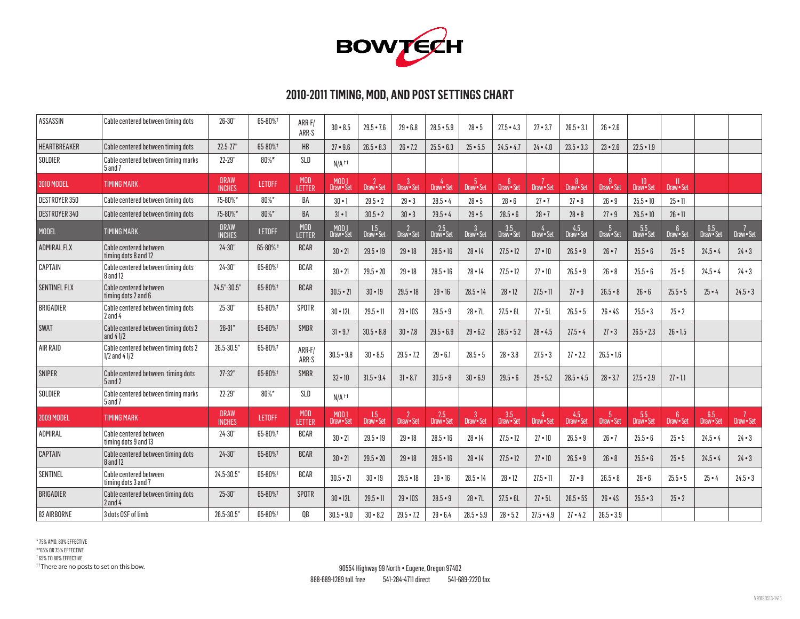

# **2010-2011 TIMING, MOD, AND POST SETTINGS CHART**

| <b>ASSASSIN</b>     | Cable centered between timing dots                        | $26 - 30"$                   | 65-80%+       | ARR-F/<br>ARR-S              | $30 - 8.5$                       | $29.5 - 7.6$      | $29 - 6.8$               | $28.5 - 5.9$        | $28 - 5$                   | $27.5 - 4.3$                 | $27 - 3.7$      | $26.5 - 3.1$      | $26 \cdot 2.6$   |                 |                           |                   |               |
|---------------------|-----------------------------------------------------------|------------------------------|---------------|------------------------------|----------------------------------|-------------------|--------------------------|---------------------|----------------------------|------------------------------|-----------------|-------------------|------------------|-----------------|---------------------------|-------------------|---------------|
| <b>HEARTBREAKER</b> | Cable centered between timing dots                        | $22.5 - 27"$                 | 65-80%        | HB                           | $27 - 9.6$                       | $26.5 - 8.3$      | $26 - 7.2$               | $25.5 - 6.3$        | $25 - 5.5$                 | $24.5 - 4.7$                 | $24 - 4.0$      | $23.5 - 3.3$      | $23 - 2.6$       | $22.5 - 1.9$    |                           |                   |               |
| SOLDIER             | Cable centered between timing marks<br>5 and 7            | 22-29"                       | $80\%$ *      | SLD                          | $N/A$ <sup><math>††</math></sup> |                   |                          |                     |                            |                              |                 |                   |                  |                 |                           |                   |               |
| <b>2010 MODEL</b>   | <b>TIMING MARK</b>                                        | <b>DRAW</b><br><b>INCHES</b> | <b>LETOFF</b> | <b>MOD</b><br>LETTER         | MOD 1<br>Draw • Set              | $2$<br>Draw • Set | <sup>3</sup><br>Draw•Set | 4<br>Draw • Set     | $-5$<br>Draw · Set         | 6 <sup>1</sup><br>Draw · Set | 7<br>Draw•Set   | 8<br>Draw · Set   | -9<br>Draw · Set | 10<br>Draw•Set  | <sup>11</sup><br>Draw•Set |                   |               |
| DESTROYER 350       | Cable centered between timing dots                        | 75-80%*                      | 80%*          | BA                           | $30 - 1$                         | $29.5 - 2$        | $29 - 3$                 | $28.5 - 4$          | $28 - 5$                   | $28 - 6$                     | $27 - 7$        | $27 - 8$          | $26 \cdot 9$     | $25.5 - 10$     | $25 \cdot 11$             |                   |               |
| DESTROYER 340       | Cable centered between timing dots                        | 75-80%*                      | 80%*          | <b>BA</b>                    | $31 \cdot 1$                     | $30.5 - 2$        | $30 - 3$                 | $29.5 - 4$          | $29 - 5$                   | $28.5 - 6$                   | $28 - 7$        | $28 - 8$          | $27 - 9$         | $26.5 \cdot 10$ | $26 \cdot 11$             |                   |               |
| <b>MODEL</b>        | <b>TIMING MARK</b>                                        | <b>DRAW</b><br><b>INCHES</b> | <b>LETOFF</b> | <b>MOD</b><br><b>LETTER</b>  | MOD 1<br>Draw • Set              | 1.5<br>Draw•Set   | 2<br>Draw•Set            | 2.5<br>Draw • Set   | $\mathbf{3}$<br>Draw · Set | 3.5<br>Draw • Set            | 4<br>Draw•Set   | 4.5<br>Draw•Set   | 5<br>Draw•Set    | 5.5<br>Draw•Set | 6<br>Draw•Set             | 6.5<br>Draw•Set   | 7<br>Draw•Set |
| <b>ADMIRAL FLX</b>  | <b>Cable centered between</b><br>timing dots 8 and 12     | $24 - 30"$                   | 65-80% $†$    | <b>BCAR</b>                  | $30 \cdot 21$                    | $29.5 - 19$       | $29 - 18$                | $28.5 - 16$         | $28 \cdot 14$              | $27.5 - 12$                  | $27 \cdot 10$   | $26.5 - 9$        | $26 \cdot 7$     | $25.5 - 6$      | $25 \cdot 5$              | $24.5 - 4$        | $24 \cdot 3$  |
| CAPTAIN             | Cable centered between timing dots<br>$8$ and 12          | $24 - 30"$                   | 65-80%+       | <b>BCAR</b>                  | $30 \cdot 21$                    | $29.5 - 20$       | $29 - 18$                | $28.5 - 16$         | $28 - 14$                  | $27.5 - 12$                  | $27 - 10$       | $26.5 - 9$        | $26 - 8$         | $25.5 - 6$      | $25 - 5$                  | $24.5 - 4$        | $24 \cdot 3$  |
| <b>SENTINEL FLX</b> | Cable centered between<br>timing dots 2 and 6             | 24.5"-30.5"                  | 65-80%        | <b>BCAR</b>                  | $30.5 - 21$                      | $30 \cdot 19$     | $29.5 - 18$              | $29 - 16$           | $28.5 - 14$                | $28 - 12$                    | $27.5 \cdot 11$ | $27 - 9$          | $26.5 - 8$       | $26 - 6$        | $25.5 - 5$                | $25 - 4$          | $24.5 - 3$    |
| BRIGADIER           | Cable centered between timing dots<br>$2$ and $4$         | $25 - 30"$                   | 65-80%        | SPOTR                        | $30 - 12L$                       | $29.5 - 11$       | $29 - 10S$               | $28.5 - 9$          | $28 \cdot 7L$              | $27.5 - 6L$                  | $27 \cdot 5L$   | $26.5 - 5$        | $26 - 4S$        | $25.5 - 3$      | $25 - 2$                  |                   |               |
| <b>SWAT</b>         | Cable centered between timing dots 2<br>and $41/2$        | $26 - 31"$                   | 65-80%        | <b>SMBR</b>                  | $31 \cdot 9.7$                   | $30.5 - 8.8$      | $30 - 7.8$               | $29.5 - 6.9$        | $29 - 6.2$                 | $28.5 - 5.2$                 | $28 - 4.5$      | $27.5 - 4$        | $27 - 3$         | $26.5 - 2.3$    | $26 \cdot 1.5$            |                   |               |
| AIR RAID            | Cable centered between timing dots 2<br>$1/2$ and $41/2$  | 26.5-30.5                    | 65-80%        | ARR-F/<br>ARR-S              | $30.5 - 9.8$                     | $30 - 8.5$        | $29.5 - 7.2$             | $29 - 6.1$          | $28.5 - 5$                 | $28 - 3.8$                   | $27.5 - 3$      | $27 - 2.2$        | $26.5 - 1.6$     |                 |                           |                   |               |
| <b>SNIPER</b>       | Cable centered between timing dots<br>$5$ and 2           | $27 - 32"$                   | 65-80%        | <b>SMBR</b>                  | $32 \cdot 10$                    | $31.5 - 9.4$      | $31 - 8.7$               | $30.5 - 8$          | $30 - 6.9$                 | $29.5 - 6$                   | $29 - 5.2$      | $28.5 - 4.5$      | $28 \cdot 3.7$   | $27.5 - 2.9$    | $27 \cdot 11$             |                   |               |
| SOLDIER             | $\mid$ Cable centered between timing marks<br>$5$ and $7$ | 22-29"                       | $80\%$ *      | SLD                          | $N/A$ <sup><math>††</math></sup> |                   |                          |                     |                            |                              |                 |                   |                  |                 |                           |                   |               |
| <b>2009 MODEL</b>   | <b>TIMING MARK</b>                                        | <b>DRAW</b><br><b>INCHES</b> | <b>LETOFF</b> | <b>MOD</b><br><b>I FTTFR</b> | MOD <sub>1</sub><br>Draw•Set     | 1.5<br>Draw • Set | $2$ Draw $\cdot$ Set     | $2.5$<br>Draw • Set | 3<br>Draw • Set            | 3.5<br>Draw • Set            | 4<br>Draw • Set | 4.5<br>Draw • Set | 5<br>Draw • Set  | 5.5<br>Draw•Set | 6<br>Draw•Set             | 6.5<br>Draw · Set | 7<br>Draw•Set |
| ADMIRAL             | <b>Cable centered between</b><br>timing dots 9 and 13     | $24 - 30"$                   | 65-80%+       | <b>BCAR</b>                  | $30 \cdot 21$                    | $29.5 - 19$       | $29 - 18$                | $28.5 - 16$         | $28 \cdot 14$              | $27.5 - 12$                  | 27 • 10         | $26.5 - 9$        | $26 \cdot 7$     | $25.5 - 6$      | $25 \cdot 5$              | $24.5 - 4$        | $24 - 3$      |
| <b>CAPTAIN</b>      | Cable centered between timing dots<br>$8$ and 12          | $24 - 30"$                   | 65-80%        | <b>BCAR</b>                  | $30 \cdot 21$                    | $29.5 - 20$       | $29 - 18$                | $28.5 \cdot 16$     | $28 \cdot 14$              | $27.5 \cdot 12$              | $27 \cdot 10$   | $26.5 - 9$        | $26 - 8$         | $25.5 - 6$      | $25 - 5$                  | $24.5 - 4$        | $24 \cdot 3$  |
| SENTINEL            | Cable centered between<br>timing dots 3 and 7             | 24.5-30.5                    | 65-80%        | <b>BCAR</b>                  | $30.5 - 21$                      | $30 - 19$         | $29.5 - 18$              | $29 - 16$           | $28.5 \cdot 14$            | $28 - 12$                    | $27.5 \cdot 11$ | $27 - 9$          | $26.5 - 8$       | $26 - 6$        | $25.5 - 5$                | $25 - 4$          | $24.5 - 3$    |
| <b>BRIGADIER</b>    | Cable centered between timing dots<br>$2$ and $4$         | $25 - 30"$                   | 65-80%        | <b>SPOTR</b>                 | $30 - 12L$                       | $29.5 \cdot 11$   | $29 - 10S$               | $28.5 - 9$          | $28 \cdot 7L$              | $27.5 - 6L$                  | $27 \cdot 5L$   | $26.5 - 5S$       | $26 - 4S$        | $25.5 - 3$      | $25 - 2$                  |                   |               |
| 82 AIRBORNE         | 3 dots OSF of limb                                        | 26.5-30.5                    | 65-80%        | 0B                           | $30.5 - 9.0$                     | $30 - 8.2$        | $29.5 - 7.2$             | $29 - 6.4$          | $28.5 - 5.9$               | $28 - 5.2$                   | $27.5 - 4.9$    | $27 - 4.2$        | $26.5 - 3.9$     |                 |                           |                   |               |

\* 75% AMO, 80% EFFECTIVE \*\*65% OR 75% EFFECTIVE † 65% TO 80% EFFECTIVE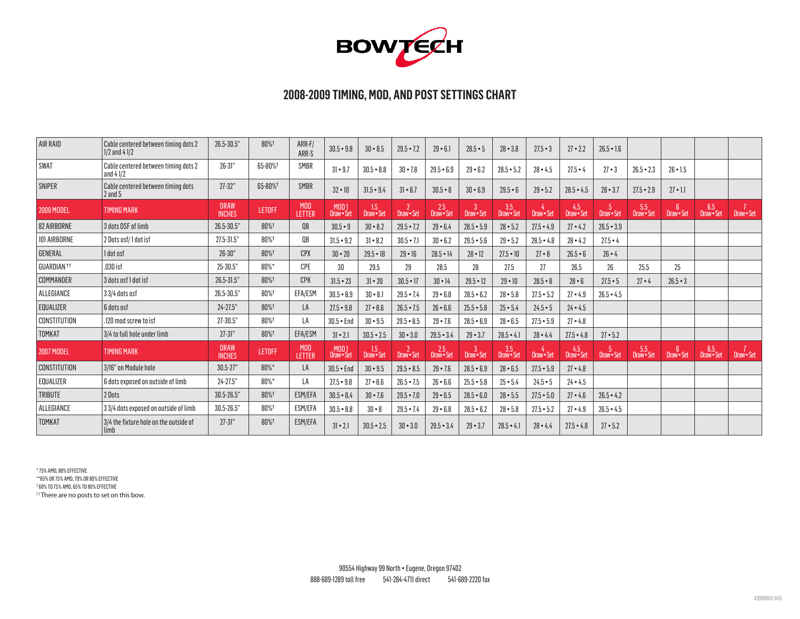

### **2008-2009 TIMING, MOD, AND POST SETTINGS CHART**

| AIR RAID               | Cable centered between timing dots 2<br>$1/2$ and $41/2$ | 26.5-30.5"                   | 80%+          | ARR-F/<br>ARR-S      | $30.5 - 9.8$                 | $30 - 8.5$            | $29.5 - 7.2$ | $29 - 6.1$          | $28.5 - 5$    | $28 - 3.8$        | $27.5 - 3$             | $27 - 2.2$        | $26.5 - 1.6$     |                 |                              |                   |               |
|------------------------|----------------------------------------------------------|------------------------------|---------------|----------------------|------------------------------|-----------------------|--------------|---------------------|---------------|-------------------|------------------------|-------------------|------------------|-----------------|------------------------------|-------------------|---------------|
| <b>SWAT</b>            | Cable centered between timing dots 2<br>and $41/2$       | $26 - 31"$                   | 65-80%        | <b>SMBR</b>          | $31 - 9.7$                   | $30.5 - 8.8$          | $30 - 7.8$   | $29.5 - 6.9$        | $29 - 6.2$    | $28.5 - 5.2$      | $28 - 4.5$             | $27.5 - 4$        | $27 - 3$         | $26.5 - 2.3$    | $26 \cdot 1.5$               |                   |               |
| <b>SNIPER</b>          | Cable centered between timing dots<br>$2$ and $5$        | $27 - 32"$                   | 65-80%        | <b>SMBR</b>          | $32 - 10$                    | $31.5 - 9.4$          | $31 - 8.7$   | $30.5 - 8$          | $30 - 6.9$    | $29.5 - 6$        | $29 - 5.2$             | $28.5 - 4.5$      | $28 - 3.7$       | $27.5 - 2.9$    | $27 \cdot 1.1$               |                   |               |
| <b>2008 MODEL</b>      | <b>TIMING MARK</b>                                       | <b>DRAW</b><br><b>INCHES</b> | <b>LETOFF</b> | <b>MOD</b><br>LETTER | MOD <sub>1</sub><br>Draw•Set | 1.5<br>Draw • Set     | Draw-Set     | 2.5<br>Draw • Set   | Draw · Set    | 3.5<br>Draw • Set | $4$ Draw $\bullet$ Set | 4.5<br>Draw • Set | 5<br>Draw • Set  | 5.5<br>Draw•Set | 6 <sup>5</sup><br>Draw · Set | 6.5<br>Draw•Set   | 7<br>Draw•Set |
| 82 AIRBORNE            | 3 dots OSF of limb                                       | 26.5-30.5"                   | 80%+          | QB                   | $30.5 - 9$                   | $30 - 8.2$            | $29.5 - 7.2$ | $29 - 6.4$          | $28.5 - 5.9$  | $28 - 5.2$        | $27.5 - 4.9$           | $27 - 4.2$        | $26.5 - 3.9$     |                 |                              |                   |               |
| 101 AIRBORNE           | 2 Dots osf/1 dot isf                                     | 27.5-31.5"                   | 80%           | <b>OB</b>            | $31.5 - 9.2$                 | $31 - 8.2$            | $30.5 - 7.1$ | $30 - 6.2$          | $29.5 - 5.6$  | $29 - 5.2$        | $28.5 - 4.8$           | $28 - 4.2$        | $27.5 - 4$       |                 |                              |                   |               |
| GENERAL                | 1 dot osf                                                | $26 - 30"$                   | 80%+          | <b>CPX</b>           | $30 - 20$                    | $29.5 - 18$           | $29 - 16$    | $28.5 - 14$         | $28 \cdot 12$ | $27.5 - 10$       | $27 - 8$               | $26.5 - 6$        | $26 - 4$         |                 |                              |                   |               |
| GUARDIAN <sup>11</sup> | .030 isf                                                 | 25-30.5"                     | 80%*          | CPE                  | 30                           | 29.5                  | 29           | 28.5                | 28            | 27.5              | 27                     | 26.5              | 26               | 25.5            | 25                           |                   |               |
| COMMANDER              | 3 dots osf 1 dot isf                                     | 26.5-31.5"                   | 80%+          | <b>CPK</b>           | $31.5 - 23$                  | $31 - 20$             | $30.5 - 17$  | $30 \cdot 14$       | $29.5 - 12$   | $29 - 10$         | $28.5 - 8$             | $28 - 6$          | $27.5 - 5$       | $27 - 4$        | $26.5 - 3$                   |                   |               |
| ALLEGIANCE             | 3 3/4 dots osf                                           | 26.5-30.5"                   | 80%t          | EFA/ESM              | $30.5 - 8.9$                 | $30 - 8.1$            | $29.5 - 7.4$ | $29 - 6.8$          | $28.5 - 6.2$  | $28 - 5.8$        | $27.5 - 5.2$           | $27 - 4.9$        | $26.5 - 4.5$     |                 |                              |                   |               |
| <b>EQUALIZER</b>       | 6 dots osf                                               | $24 - 27.5"$                 | 80%+          | LA                   | $27.5 - 9.8$                 | $27 - 8.6$            | $26.5 - 7.5$ | $26 - 6.6$          | $25.5 - 5.8$  | $25 - 5.4$        | $24.5 - 5$             | $24 - 4.5$        |                  |                 |                              |                   |               |
| CONSTITUTION           | .120 mod screw to isf                                    | 27-30.5"                     | 80%t          | LA                   | $30.5 -$ End                 | $30 - 9.5$            | $29.5 - 8.5$ | $29 - 7.6$          | $28.5 - 6.9$  | $28 - 6.5$        | $27.5 - 5.9$           | $27 - 4.8$        |                  |                 |                              |                   |               |
| <b>TOMKAT</b>          | 3/4 to full hole under limb                              | $27 - 31"$                   | 80%+          | EFA/ESM              | $31 \cdot 2.1$               | $30.5 - 2.5$          | $30 - 3.0$   | $29.5 - 3.4$        | $29 - 3.7$    | $28.5 - 4.1$      | $28 - 4.4$             | $27.5 - 4.8$      | $27 - 5.2$       |                 |                              |                   |               |
| <b>2007 MODEL</b>      | <b>TIMING MARK</b>                                       | <b>DRAW</b><br><b>INCHES</b> | <b>LETOFF</b> | <b>MOD</b><br>LETTER | MOD 1<br>Draw•Set            | $1.5\,$<br>Draw · Set | Draw - Set   | $2.5$<br>Draw • Set | Draw · Set    | 3.5<br>Draw • Set | Draw - Set             | 4.5<br>Draw • Set | -5<br>Draw · Set | 5.5<br>Draw•Set | 6<br>Draw · Set              | 6.5<br>Draw • Set | 7<br>Draw•Set |
| <b>CONSTITUTION</b>    | 3/16" on Module hole                                     | $30.5 - 27"$                 | 80%*          | <b>LA</b>            | $30.5 -$ End                 | $30 - 9.5$            | $29.5 - 8.5$ | $29 - 7.6$          | $28.5 - 6.9$  | $28 - 6.5$        | $27.5 - 5.9$           | $27 - 4.8$        |                  |                 |                              |                   |               |
| EQUALIZER              | 6 dots exposed on outside of limb                        | 24-27.5"                     | 80%*          | LA                   | $27.5 - 9.8$                 | $27 - 8.6$            | $26.5 - 7.5$ | $26 - 6.6$          | $25.5 - 5.8$  | $25 - 5.4$        | $24.5 - 5$             | $24 - 4.5$        |                  |                 |                              |                   |               |
| <b>TRIBUTE</b>         | 2 Dots                                                   | 30.5-26.5"                   | 80%+          | <b>ESM/EFA</b>       | $30.5 - 8.4$                 | $30 - 7.6$            | $29.5 - 7.0$ | $29 - 6.5$          | $28.5 - 6.0$  | $28 - 5.5$        | $27.5 - 5.0$           | $27 - 4.6$        | $26.5 - 4.2$     |                 |                              |                   |               |
| ALLEGIANCE             | 33/4 dots exposed on outside of limb                     | 30.5-26.5"                   | 80%t          | ESM/EFA              | $30.5 - 8.8$                 | $30 - 8$              | $29.5 - 7.4$ | $29 - 6.8$          | $28.5 - 6.2$  | $28 - 5.8$        | $27.5 - 5.2$           | $27 - 4.9$        | $26.5 - 4.5$     |                 |                              |                   |               |
| <b>TOMKAT</b>          | 3/4 the fixture hole on the outside of<br>limb           | $27 - 31"$                   | 80%+          | ESM/EFA              | $31 \cdot 2.1$               | $30.5 - 2.5$          | $30 - 3.0$   | $29.5 - 3.4$        | $29 - 3.7$    | $28.5 - 4.1$      | $28 - 4.4$             | $27.5 - 4.8$      | $27 - 5.2$       |                 |                              |                   |               |

\* 75% AMO, 80% EFFECTIVE \*\*65% OR 75% AMO, 70% OR 80% EFFECTIVE † 60% TO 75% AMO, 65% TO 80% EFFECTIVE <sup>††</sup>There are no posts to set on this bow.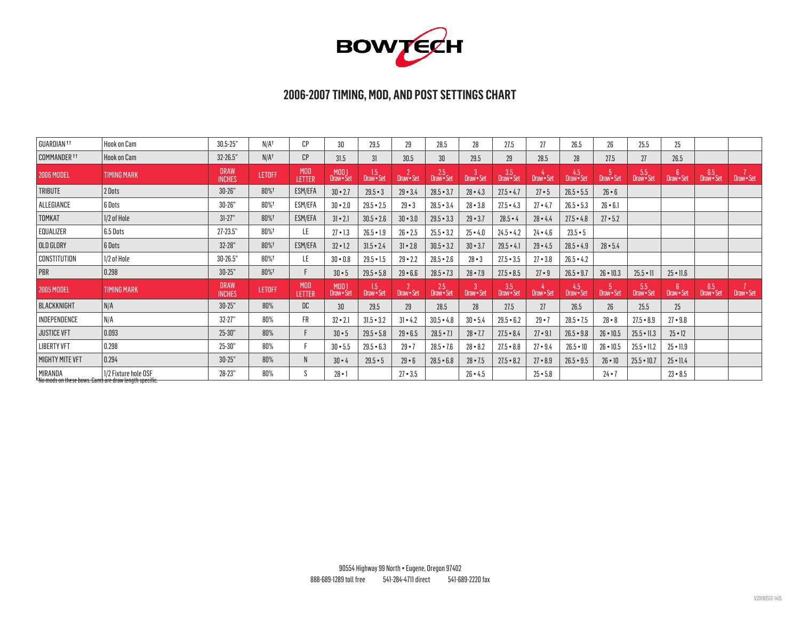

### **2006-2007 TIMING, MOD, AND POST SETTINGS CHART**

| GUARDIAN <sup>11</sup>  | Hook on Cam                                                                   | $30.5 - 25"$                 | N/A <sup>†</sup> | CP                   | 30                           | 29.5                        | 29                      | 28.5                | 28         | 27.5              | 27           | 26.5              | $26\,$          | 25.5              | 25                        |                   |            |
|-------------------------|-------------------------------------------------------------------------------|------------------------------|------------------|----------------------|------------------------------|-----------------------------|-------------------------|---------------------|------------|-------------------|--------------|-------------------|-----------------|-------------------|---------------------------|-------------------|------------|
| COMMANDER <sup>11</sup> | <b>Hook on Cam</b>                                                            | $32 - 26.5"$                 | $N/A^{\dagger}$  | CP                   | 31.5                         | 31                          | 30.5                    | 30 <sup>°</sup>     | 29.5       | 29                | 28.5         | 28                | 27.5            | 27                | 26.5                      |                   |            |
| <b>2006 MODEL</b>       | <b>TIMING MARK</b>                                                            | <b>DRAW</b><br><b>INCHES</b> | <b>LETOFF</b>    | <b>MOD</b><br>LETTER | MOD 1<br>Draw•Set            | 1.5<br>Draw · Set           | Draw · Set              | 2.5<br>Draw • Set   | Draw • Set | 3.5<br>Draw • Set | Draw • Set   | 4.5<br>Draw • Set | Draw · Set      | 5.5<br>Draw • Set | 6<br>Draw · Set           | 6.5<br>Draw • Set | Draw - Set |
| TRIBUTE                 | 2 Dots                                                                        | $30 - 26"$                   | 80%              | ESM/EFA              | $30 - 2.7$                   | $29.5 - 3$                  | $29 - 3.4$              | $28.5 - 3.7$        | $28 - 4.3$ | $27.5 - 4.7$      | $27 \cdot 5$ | $26.5 - 5.5$      | $26 \cdot 6$    |                   |                           |                   |            |
| ALLEGIANCE              | 6 Dots                                                                        | $30 - 26"$                   | 80%t             | ESM/EFA              | $30 - 2.0$                   | $29.5 - 2.5$                | $29 - 3$                | $28.5 - 3.4$        | $28 - 3.8$ | $27.5 - 4.3$      | $27 - 4.7$   | $26.5 - 5.3$      | $26 - 6.1$      |                   |                           |                   |            |
| TOMKAT                  | 1/2 of Hole                                                                   | $31 - 27"$                   | 80%              | ESM/EFA              | $31 \cdot 2.1$               | $30.5 - 2.6$                | $30 - 3.0$              | $29.5 - 3.3$        | $29 - 3.7$ | $28.5 - 4$        | $28 - 4.4$   | $27.5 - 4.8$      | $27 - 5.2$      |                   |                           |                   |            |
| EQUALIZER               | 6.5 Dots                                                                      | $27 - 23.5"$                 | 80%t             | LE.                  | $27 - 1.3$                   | $26.5 - 1.9$                | $26 - 2.5$              | $25.5 - 3.2$        | $25 - 4.0$ | $24.5 - 4.2$      | $24 - 4.6$   | $23.5 - 5$        |                 |                   |                           |                   |            |
| OLD GLORY               | 6 Dots                                                                        | $32 - 28"$                   | 80%              | ESM/EFA              | $32 - 1.2$                   | $31.5 - 2.4$                | $31 - 2.8$              | $30.5 - 3.2$        | $30 - 3.7$ | $29.5 - 4.1$      | $29 - 4.5$   | $28.5 - 4.9$      | $28 - 5.4$      |                   |                           |                   |            |
| CONSTITUTION            | 1/2 of Hole                                                                   | 30-26.5"                     | 80%t             | LE.                  | $30 - 0.8$                   | $29.5 - 1.5$                | $29 - 2.2$              | $28.5 - 2.6$        | $28 - 3$   | $27.5 - 3.5$      | $27 - 3.8$   | $26.5 - 4.2$      |                 |                   |                           |                   |            |
| PBR                     | 0.298                                                                         | $30 - 25"$                   | 80%+             |                      | $30 \cdot 5$                 | $29.5 - 5.8$                | $29 - 6.6$              | $28.5 - 7.3$        | $28 - 7.9$ | $27.5 - 8.5$      | $27 \cdot 9$ | $26.5 - 9.7$      | $26 \cdot 10.3$ | $25.5 - 11$       | $25 \cdot 11.6$           |                   |            |
| <b>2005 MODEL</b>       | <b>TIMING MARK</b>                                                            | <b>DRAW</b><br><b>INCHES</b> | <b>LETOFF</b>    | <b>MOD</b><br>LETTER | MOD <sub>1</sub><br>Draw•Set | $1.5$<br>Draw $\bullet$ Set | $2$ Draw $\text{-}$ Set | $2.5$<br>Draw • Set | Draw · Set | 3.5<br>Draw • Set | Draw · Set   | 4.5<br>Draw Set   | Draw · Set      | 5.5<br>Draw · Set | $6^{\circ}$<br>Draw · Set | 6.5<br>Draw • Set | Draw · Set |
| BLACKKNIGHT             | N/A                                                                           | $30 - 25"$                   | 80%              | DC                   | 30                           | 29.5                        | 29                      | 28.5                | 28         | 27.5              | 27           | 26.5              | 26 <sup>°</sup> | 25.5              | 25 <sub>2</sub>           |                   |            |
| INDEPENDENCE            | N/A                                                                           | $32 - 27"$                   | 80%              | FR                   | $32 \cdot 2.1$               | $31.5 - 3.2$                | $31 - 4.2$              | $30.5 - 4.8$        | $30 - 5.4$ | $29.5 - 6.2$      | $29 - 7$     | $28.5 - 7.5$      | $28 - 8$        | $27.5 - 8.9$      | $27 - 9.8$                |                   |            |
| <b>JUSTICE VFT</b>      | 0.093                                                                         | $25 - 30"$                   | 80%              |                      | $30 \cdot 5$                 | $29.5 - 5.8$                | $29 - 6.5$              | $28.5 - 7.1$        | $28 - 7.7$ | $27.5 - 8.4$      | $27 - 9.1$   | $26.5 - 9.8$      | 26 • 10.5       | $25.5 \cdot 11.3$ | $25 \cdot 12$             |                   |            |
| <b>LIBERTY VFT</b>      | 0.298                                                                         | $25 - 30"$                   | 80%              |                      | $30 - 5.5$                   | $29.5 - 6.3$                | $29 - 7$                | $28.5 - 7.6$        | $28 - 8.2$ | $27.5 - 8.8$      | $27 - 9.4$   | $26.5 - 10$       | 26 • 10.5       | $25.5 \cdot 11.2$ | $25 \cdot 11.9$           |                   |            |
| <b>MIGHTY MITE VFT</b>  | 0.294                                                                         | $30 - 25"$                   | 80%              | N                    | $30 \cdot 4$                 | $29.5 - 5$                  | $29 - 6$                | $28.5 - 6.8$        | $28 - 7.5$ | $27.5 - 8.2$      | $27 - 8.9$   | $26.5 - 9.5$      | $26 \cdot 10$   | $25.5 - 10.7$     | $25 \cdot 11.4$           |                   |            |
| MIRANDA                 | 1/2 Fixture hole OSF<br>*No mods on these bows. Cams are draw length specific | 28-23"                       | 80%              |                      | $28 - 1$                     |                             | $27 - 3.5$              |                     | $26 - 4.5$ |                   | $25 - 5.8$   |                   | $24 - 7$        |                   | $23 - 8.5$                |                   |            |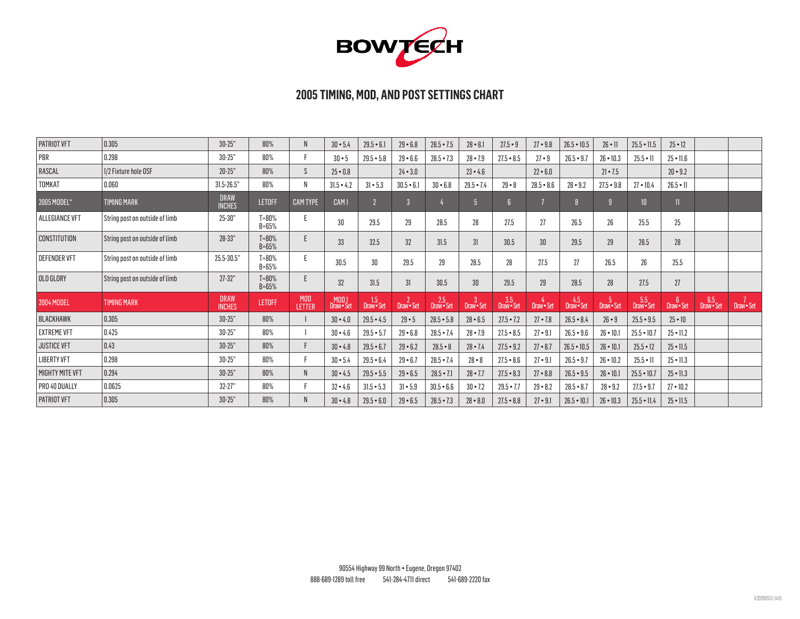

| <b>PATRIOT VFT</b>     | 0.305                          | $30 - 25"$                   | 80%                    | N                    | $30 - 5.4$                   | $29.5 - 6.1$      | $29 - 6.8$        | $28.5 - 7.5$        | $28 - 8.1$      | $27.5 - 9$        | $27 - 9.8$   | $26.5 - 10.5$     | $26 \cdot 11$   | $25.5 \cdot 11.5$ | $25 \cdot 12$   |                 |            |
|------------------------|--------------------------------|------------------------------|------------------------|----------------------|------------------------------|-------------------|-------------------|---------------------|-----------------|-------------------|--------------|-------------------|-----------------|-------------------|-----------------|-----------------|------------|
| PBR                    | 0.298                          | $30 - 25"$                   | 80%                    |                      | $30 - 5$                     | $29.5 - 5.8$      | $29 - 6.6$        | $28.5 - 7.3$        | $28 - 7.9$      | $27.5 - 8.5$      | $27 \cdot 9$ | $26.5 - 9.7$      | $26 \cdot 10.3$ | $25.5 - 11$       | $25 \cdot 11.6$ |                 |            |
| RASCAL                 | 1/2 Fixture hole OSF           | $20 - 25"$                   | 80%                    | S.                   | $25 - 0.8$                   |                   | $24 - 3.0$        |                     | $23 - 4.6$      |                   | $22 - 6.0$   |                   | $21 \cdot 7.5$  |                   | $20 - 9.2$      |                 |            |
| <b>TOMKAT</b>          | 0.060                          | $31.5 - 26.5$ "              | 80%                    | N                    | $31.5 - 4.2$                 | $31 - 5.3$        | $30.5 - 6.1$      | $30 - 6.8$          | $29.5 - 7.4$    | $29 - 8$          | $28.5 - 8.6$ | $28 - 9.2$        | $27.5 - 9.8$    | $27 \cdot 10.4$   | $26.5 \cdot 11$ |                 |            |
| 2005 MODEL*            | <b>TIMING MARK</b>             | <b>DRAW</b><br><b>INCHES</b> | <b>LETOFF</b>          | <b>CAM TYPE</b>      | CAM <sub>1</sub>             |                   | $\overline{3}$    |                     | 5 <sup>1</sup>  | $\mathbf{f}$      |              |                   | $\overline{9}$  | 10 <sup>1</sup>   |                 |                 |            |
| ALLEGIANCE VFT         | String post on outside of limb | 25-30"                       | $T = 80%$<br>$B = 65%$ |                      | 30                           | 29.5              | 29                | 28.5                | 28              | 27.5              | 27           | 26.5              | $26\,$          | 25.5              | $25\,$          |                 |            |
| <b>CONSTITUTION</b>    | String post on outside of limb | 28-33"                       | $T = 80%$<br>$B = 65%$ |                      | 33                           | 32.5              | 32 <sup>°</sup>   | 31.5                | 31              | 30.5              | 30           | 29.5              | 29              | 28.5              | 28              |                 |            |
| <b>DEFENDER VFT</b>    | String post on outside of limb | 25.5-30.5"                   | $T = 80%$<br>$B = 65%$ |                      | 30.5                         | 30                | 29.5              | 29                  | 28.5            | 28                | 27.5         | 27                | 26.5            | 26                | 25.5            |                 |            |
| OLD GLORY              | String post on outside of limb | $27 - 32"$                   | $T = 80%$<br>$B = 65%$ |                      | 32                           | 31.5              | 31                | 30.5                | 30              | 29.5              | 29           | 28.5              | 28              | 27.5              | 27              |                 |            |
| <b>2004 MODEL</b>      | <b>TIMING MARK</b>             | <b>DRAW</b><br><b>INCHES</b> | <b>LETOFF</b>          | <b>MOD</b><br>LETTER | MOD <sub>1</sub><br>Draw•Set | 1.5<br>Draw • Set | $2$<br>Draw • Set | $2.5$<br>Draw • Set | 3<br>Draw • Set | 3.5<br>Draw • Set | Draw · Set   | 4.5<br>Draw • Set | 5<br>Draw • Set | 5.5<br>Draw · Set | 6<br>Draw•Set   | 6.5<br>Draw•Set | Draw - Set |
| <b>BLACKHAWK</b>       | 0.305                          | $30 - 25"$                   | 80%                    |                      | $30 - 4.0$                   | $29.5 - 4.5$      | $29 - 5$          | $28.5 - 5.8$        | $28 - 6.5$      | $27.5 - 7.2$      | $27 - 7.8$   | $26.5 - 8.4$      | $26 - 9$        | $25.5 - 9.5$      | $25 \cdot 10$   |                 |            |
| <b>EXTREME VFT</b>     | $ 0.425\rangle$                | $30 - 25"$                   | 80%                    |                      | $30 - 4.6$                   | $29.5 - 5.7$      | $29 - 6.8$        | $28.5 - 7.4$        | $28 - 7.9$      | $27.5 - 8.5$      | $27 - 9.1$   | $26.5 - 9.6$      | $26 \cdot 10.1$ | $25.5 - 10.7$     | $25 \cdot 11.2$ |                 |            |
| <b>JUSTICE VFT</b>     | $ 0.43\rangle$                 | $30 - 25"$                   | 80%                    |                      | $30 - 4.8$                   | $29.5 - 6.7$      | $29 - 6.2$        | $28.5 - 8$          | $28 - 7.4$      | $27.5 - 9.2$      | $27 - 8.7$   | $26.5 \cdot 10.5$ | $26 \cdot 10.1$ | $25.5 - 12$       | $25 \cdot 11.5$ |                 |            |
| <b>LIBERTY VFT</b>     | $\vert$ 0.298                  | $30 - 25"$                   | 80%                    |                      | $30 - 5.4$                   | $29.5 - 6.4$      | $29 - 6.7$        | $28.5 - 7.4$        | $28 - 8$        | $27.5 - 8.6$      | $27 - 9.1$   | $26.5 - 9.7$      | $26 \cdot 10.2$ | $25.5 \cdot 11$   | $25 - 11.3$     |                 |            |
| <b>MIGHTY MITE VFT</b> | 0.294                          | $30 - 25"$                   | 80%                    | N                    | $30 - 4.5$                   | $29.5 - 5.5$      | $29 - 6.5$        | $28.5 - 7.1$        | $28 - 7.7$      | $27.5 - 8.3$      | $27 - 8.8$   | $26.5 - 9.5$      | $26 \cdot 10.1$ | $25.5 - 10.7$     | $25 \cdot 11.3$ |                 |            |
| PRO 40 DUALLY          | 0.0625                         | $32 - 27"$                   | 80%                    |                      | $32 - 4.6$                   | $31.5 - 5.3$      | $31 - 5.9$        | $30.5 - 6.6$        | $30 - 7.2$      | $29.5 - 7.7$      | $29 - 8.2$   | $28.5 - 8.7$      | $28 - 9.2$      | $27.5 - 9.7$      | $27 - 10.2$     |                 |            |
| <b>PATRIOT VFT</b>     | 0.305                          | $30 - 25"$                   | 80%                    | N                    | $30 - 4.8$                   | $29.5 - 6.0$      | $29 - 6.5$        | $28.5 - 7.3$        | $28 - 8.0$      | $27.5 - 8.8$      | $27 - 9.1$   | $26.5 \cdot 10.1$ | $26 \cdot 10.3$ | $25.5 \cdot 11.4$ | $25 \cdot 11.5$ |                 |            |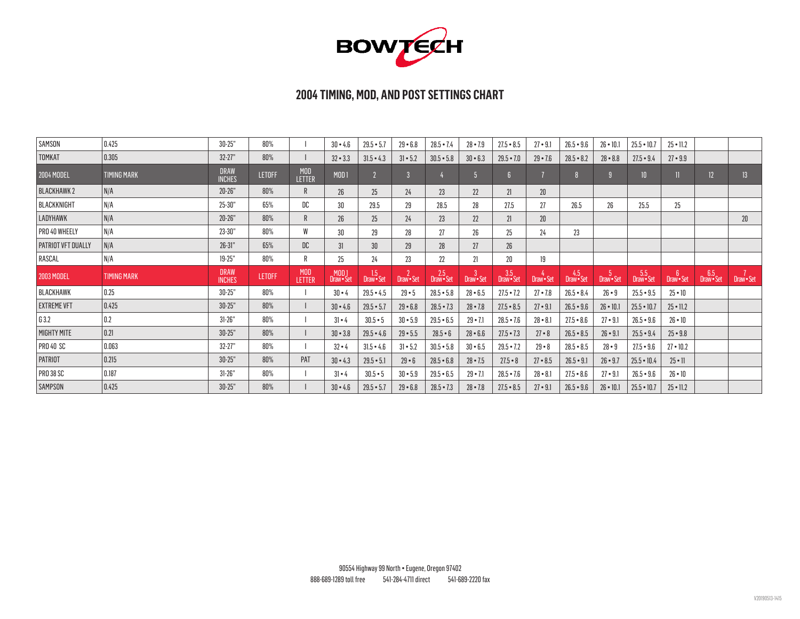

| SAMSON             | 0.425              | $30 - 25"$                   | 80%           |                      | $30 - 4.6$          | $29.5 - 5.7$                   | $29 - 6.8$                   | $28.5 - 7.4$      | $28 - 7.9$                   | $27.5 - 8.5$      | $27 - 9.1$      | $26.5 - 9.6$      | $26 \cdot 10.1$   | $25.5 - 10.7$     | $25 \cdot 11.2$              |                   |                 |
|--------------------|--------------------|------------------------------|---------------|----------------------|---------------------|--------------------------------|------------------------------|-------------------|------------------------------|-------------------|-----------------|-------------------|-------------------|-------------------|------------------------------|-------------------|-----------------|
| TOMKAT             | $\vert$ 0.305      | $32 - 27"$                   | 80%           |                      | $32 - 3.3$          | $31.5 - 4.3$                   | $31 - 5.2$                   | $30.5 - 5.8$      | $30 - 6.3$                   | $29.5 - 7.0$      | $29 - 7.6$      | $28.5 - 8.2$      | $28 - 8.8$        | $27.5 - 9.4$      | $27 - 9.9$                   |                   |                 |
| <b>2004 MODEL</b>  | <b>TIMING MARK</b> | <b>DRAW</b><br><b>INCHES</b> | <b>LETOFF</b> | <b>MOD</b><br>LETTER | <b>MOD1</b>         |                                | $\overline{3}$               |                   | $\overline{5}$               | $\boldsymbol{6}$  |                 |                   |                   | 10                |                              | 12                | 13 <sup>°</sup> |
| <b>BLACKHAWK2</b>  | N/A                | $20 - 26"$                   | 80%           | R                    | 26                  | 25 <sub>2</sub>                | 24                           | 23                | 22                           | 21                | 20 <sup>°</sup> |                   |                   |                   |                              |                   |                 |
| BLACKKNIGHT        | N/A                | $25 - 30"$                   | 65%           | DC                   | 30                  | 29.5                           | 29                           | 28.5              | 28                           | 27.5              | 27              | 26.5              | 26                | 25.5              | $25\,$                       |                   |                 |
| LADYHAWK           | N/A                | $20 - 26"$                   | 80%           | R                    | 26                  | 25 <sub>2</sub>                | 24                           | 23 <sup>°</sup>   | 22                           | 21                | $20\,$          |                   |                   |                   |                              |                   | 20              |
| PRO 40 WHEELY      | N/A                | 23-30"                       | 80%           | W                    | 30                  | 29                             | 28                           | 27                | 26                           | $25\,$            | 24              | 23                |                   |                   |                              |                   |                 |
| PATRIOT VFT DUALLY | N/A                | $26 - 31"$                   | 65%           | DC                   | 31                  | 30 <sup>°</sup>                | 29 <sup>°</sup>              | 28                | 27                           | 26 <sup>°</sup>   |                 |                   |                   |                   |                              |                   |                 |
| RASCAL             | N/A                | $19 - 25"$                   | 80%           | R                    | 25                  | 24                             | 23                           | 22                | 21                           | $20\,$            | 19              |                   |                   |                   |                              |                   |                 |
|                    |                    |                              |               |                      |                     |                                |                              |                   |                              |                   |                 |                   |                   |                   |                              |                   |                 |
| <b>2003 MODEL</b>  | <b>TIMING MARK</b> | <b>DRAW</b><br><b>INCHES</b> | <b>LETOFF</b> | <b>MOD</b><br>LETTER | MOD 1<br>Draw • Set | 1.5 <sub>1</sub><br>Draw · Set | $\overline{2}$<br>Draw - Set | 2.5<br>Draw · Set | $\overline{3}$<br>Draw · Set | 3.5<br>Draw • Set | Draw • Set      | 4.5<br>Draw • Set | 15,<br>Draw · Set | 5.5<br>Draw · Set | 6 <sup>5</sup><br>Draw · Set | 6.5<br>Draw • Set | Draw - Set      |
| <b>BLACKHAWK</b>   | 0.25               | $30 - 25"$                   | 80%           |                      | $30 \cdot 4$        | $29.5 - 4.5$                   | $29 - 5$                     | $28.5 - 5.8$      | $28 - 6.5$                   | $27.5 - 7.2$      | $27 - 7.8$      | $26.5 - 8.4$      | $26 - 9$          | $25.5 - 9.5$      | $25 \cdot 10$                |                   |                 |
| <b>EXTREME VFT</b> | 0.425              | $30 - 25"$                   | 80%           |                      | $30 - 4.6$          | $29.5 - 5.7$                   | $29 - 6.8$                   | $28.5 - 7.3$      | $28 - 7.8$                   | $27.5 - 8.5$      | $27 - 9.1$      | $26.5 - 9.6$      | $26 \cdot 10.1$   | $25.5 - 10.7$     | $25 \cdot 11.2$              |                   |                 |
| G3.2               | 0.2                | $31 - 26"$                   | 80%           |                      | $31 - 4$            | $30.5 - 5$                     | $30 - 5.9$                   | $29.5 - 6.5$      | $29 - 7.1$                   | $28.5 - 7.6$      | $28 - 8.1$      | $27.5 - 8.6$      | $27 \cdot 9.1$    | $26.5 - 9.6$      | $26 \cdot 10$                |                   |                 |
| MIGHTY MITE        | 0.21               | $30 - 25"$                   | 80%           |                      | $30 - 3.8$          | $29.5 - 4.6$                   | $29 - 5.5$                   | $28.5 - 6$        | $28 - 6.6$                   | $27.5 - 7.3$      | $27 - 8$        | $26.5 - 8.5$      | $26 - 9.1$        | $25.5 - 9.4$      | $25 - 9.8$                   |                   |                 |
| <b>PRO 40 SC</b>   | 0.063              | $32 - 27"$                   | 80%           |                      | $32 - 4$            | $31.5 - 4.6$                   | $31 - 5.2$                   | $30.5 - 5.8$      | $30 - 6.5$                   | $29.5 - 7.2$      | $29 - 8$        | $28.5 - 8.5$      | $28 - 9$          | $27.5 - 9.6$      | $27 \cdot 10.2$              |                   |                 |
| PATRIOT            | 0.215              | $30 - 25"$                   | 80%           | PAT                  | $30 - 4.3$          | $29.5 - 5.1$                   | $29 - 6$                     | $28.5 - 6.8$      | $28 - 7.5$                   | $27.5 - 8$        | $27 - 8.5$      | $26.5 - 9.1$      | $26 - 9.7$        | $25.5 - 10.4$     | $25 \cdot 11$                |                   |                 |
| <b>PRO 38 SC</b>   | 0.187              | $31 - 26"$                   | 80%           |                      | $31 - 4$            | $30.5 - 5$                     | $30 - 5.9$                   | $29.5 - 6.5$      | $29 - 7.1$                   | $28.5 - 7.6$      | $28 - 8.1$      | $27.5 - 8.6$      | $27 \cdot 9.1$    | $26.5 - 9.6$      | $26 \cdot 10$                |                   |                 |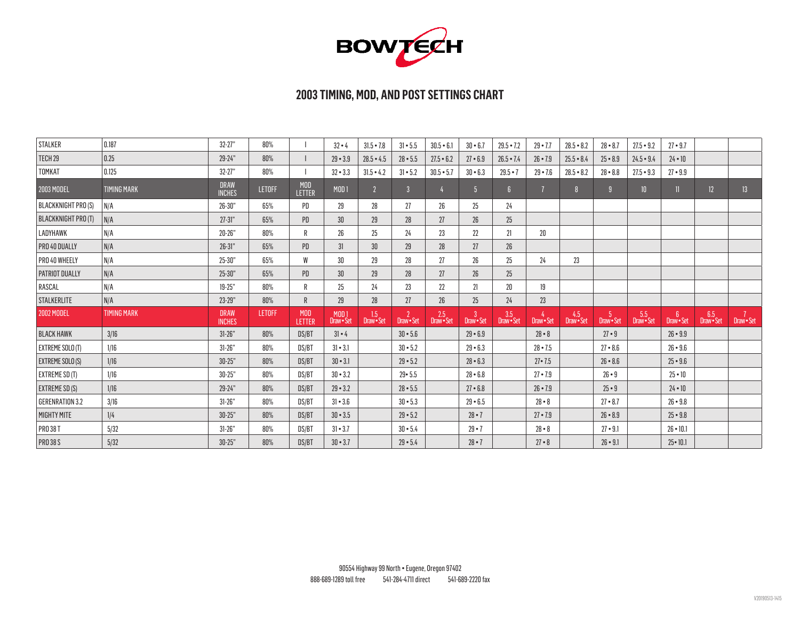

| <b>STALKER</b>             | $\vert$ 0.187      | $32 - 27"$                   | 80%           |                      | $32 - 4$                     | $31.5 - 7.8$    | $31 - 5.5$                | $30.5 - 6.1$        | $30 - 6.7$      | $29.5 - 7.2$      | $29 - 7.7$      | $28.5 - 8.2$    | $28 - 8.7$     | $27.5 - 9.2$    | $27 - 9.7$      |                   |                 |
|----------------------------|--------------------|------------------------------|---------------|----------------------|------------------------------|-----------------|---------------------------|---------------------|-----------------|-------------------|-----------------|-----------------|----------------|-----------------|-----------------|-------------------|-----------------|
| TECH 29                    | 0.25               | 29-24"                       | 80%           |                      | $29 - 3.9$                   | $28.5 - 4.5$    | $28 - 5.5$                | $27.5 - 6.2$        | $27 - 6.9$      | $26.5 - 7.4$      | $26 - 7.9$      | $25.5 - 8.4$    | $25 - 8.9$     | $24.5 - 9.4$    | $24 \cdot 10$   |                   |                 |
| TOMKAT                     | 0.125              | $32 - 27"$                   | 80%           |                      | $32 - 3.3$                   | $31.5 - 4.2$    | $31 - 5.2$                | $30.5 - 5.7$        | $30 - 6.3$      | $29.5 - 7$        | $29 - 7.6$      | $28.5 - 8.2$    | $28 - 8.8$     | $27.5 - 9.3$    | $27 - 9.9$      |                   |                 |
| 2003 MODEL                 | <b>TIMING MARK</b> | <b>DRAW</b><br><b>INCHES</b> | <b>LETOFF</b> | <b>MOD</b><br>LETTER | MOD1                         |                 | $\overline{3}$            |                     | 5 <sup>5</sup>  | f                 | $\overline{1}$  |                 | $\overline{9}$ | 10 <sup>°</sup> | 11              | 12                | 13 <sup>°</sup> |
| <b>BLACKKNIGHT PRO (S)</b> | N/A                | $26 - 30"$                   | 65%           | PD                   | 29                           | 28              | 27                        | 26                  | 25              | 24                |                 |                 |                |                 |                 |                   |                 |
| BLACKKNIGHT PRO (T)        | N/A                | $27 - 31"$                   | 65%           | PD                   | 30 <sup>°</sup>              | 29 <sup>°</sup> | 28                        | 27                  | 26              | 25                |                 |                 |                |                 |                 |                   |                 |
| LADYHAWK                   | N/A                | $20 - 26"$                   | 80%           | R                    | 26                           | 25              | 24                        | 23                  | 22              | 21                | $20\,$          |                 |                |                 |                 |                   |                 |
| PRO 40 DUALLY              | N/A                | $26 - 31"$                   | 65%           | PD                   | 31                           | 30 <sup>°</sup> | 29                        | 28                  | 27              | 26                |                 |                 |                |                 |                 |                   |                 |
| PRO 40 WHEELY              | N/A                | $25 - 30"$                   | 65%           | W                    | 30                           | 29              | 28                        | 27                  | 26              | 25                | 24              | 23              |                |                 |                 |                   |                 |
| PATRIOT DUALLY             | N/A                | $25 - 30"$                   | 65%           | <b>PD</b>            | 30 <sup>°</sup>              | 29 <sup>°</sup> | 28                        | 27                  | 26              | 25                |                 |                 |                |                 |                 |                   |                 |
| RASCAL                     | N/A                | $19 - 25"$                   | 80%           | R                    | 25                           | 24              | 23                        | 22                  | 21              | $20\,$            | 19              |                 |                |                 |                 |                   |                 |
| STALKERLITE                | N/A                | 23-29"                       | 80%           | R                    | 29                           | 28              | 27                        | 26                  | 25              | 24                | 23              |                 |                |                 |                 |                   |                 |
| <b>2002 MODEL</b>          | <b>TIMING MARK</b> | <b>DRAW</b><br><b>INCHES</b> | <b>LETOFF</b> | <b>MOD</b><br>LETTER | MOD <sub>1</sub><br>Draw•Set | 1.5<br>Draw•Set | $2$<br>Draw $\bullet$ Set | $2.5$<br>Draw • Set | 3<br>Draw · Set | 3.5<br>Draw • Set | 4<br>Draw - Set | 4.5<br>Draw•Set | 5<br>Draw•Set  | 5.5<br>Draw•Set | 6<br>Draw•Set   | 6.5<br>Draw • Set | 7<br>Draw•Set   |
| <b>BLACK HAWK</b>          | 3/16               | $31 - 26"$                   | 80%           | DS/BT                | $31 \cdot 4$                 |                 | $30 - 5.6$                |                     | $29 - 6.9$      |                   | $28 - 8$        |                 | $27 - 9$       |                 | $26 - 9.9$      |                   |                 |
| EXTREME SOLO (T)           | 1/16               | $31 - 26"$                   | 80%           | DS/BT                | $31 - 3.1$                   |                 | $30 - 5.2$                |                     | $29 - 6.3$      |                   | $28 - 7.5$      |                 | $27 - 8.6$     |                 | $26 - 9.6$      |                   |                 |
| EXTREME SOLO (S)           | 1/16               | $30 - 25"$                   | 80%           | DS/BT                | $30 \cdot 3.1$               |                 | $29 - 5.2$                |                     | $28 - 6.3$      |                   | $27 - 7.5$      |                 | $26 - 8.6$     |                 | $25 - 9.6$      |                   |                 |
| EXTREME SD (T)             | 1/16               | $30 - 25"$                   | 80%           | DS/BT                | $30 - 3.2$                   |                 | $29 - 5.5$                |                     | $28 - 6.8$      |                   | $27 - 7.9$      |                 | $26 - 9$       |                 | $25 \cdot 10$   |                   |                 |
| EXTREME SD (S)             | 1/16               | 29-24"                       | 80%           | DS/BT                | $29 - 3.2$                   |                 | $28 - 5.5$                |                     | $27 - 6.8$      |                   | $26 \cdot 7.9$  |                 | $25 - 9$       |                 | $24 \cdot 10$   |                   |                 |
| <b>GERENRATION 3.2</b>     | 3/16               | $31 - 26"$                   | 80%           | DS/BT                | $31 - 3.6$                   |                 | $30 - 5.3$                |                     | $29 - 6.5$      |                   | $28 - 8$        |                 | $27 - 8.7$     |                 | $26 - 9.8$      |                   |                 |
| MIGHTY MITE                | 1/4                | $30 - 25"$                   | 80%           | DS/BT                | $30 - 3.5$                   |                 | $29 - 5.2$                |                     | $28 \cdot 7$    |                   | $27 - 7.9$      |                 | $26 - 8.9$     |                 | $25 - 9.8$      |                   |                 |
| <b>PRO 38 T</b>            | 5/32               | $31 - 26"$                   | 80%           | DS/BT                | $31 \cdot 3.7$               |                 | $30 - 5.4$                |                     | $29 - 7$        |                   | $28 - 8$        |                 | $27 - 9.1$     |                 | $26 \cdot 10.1$ |                   |                 |
| <b>PRO 38 S</b>            | 5/32               | $30 - 25"$                   | 80%           | DS/BT                | $30 - 3.7$                   |                 | $29 - 5.4$                |                     | $28 - 7$        |                   | $27 - 8$        |                 | $26 \cdot 9.1$ |                 | $25 \cdot 10.1$ |                   |                 |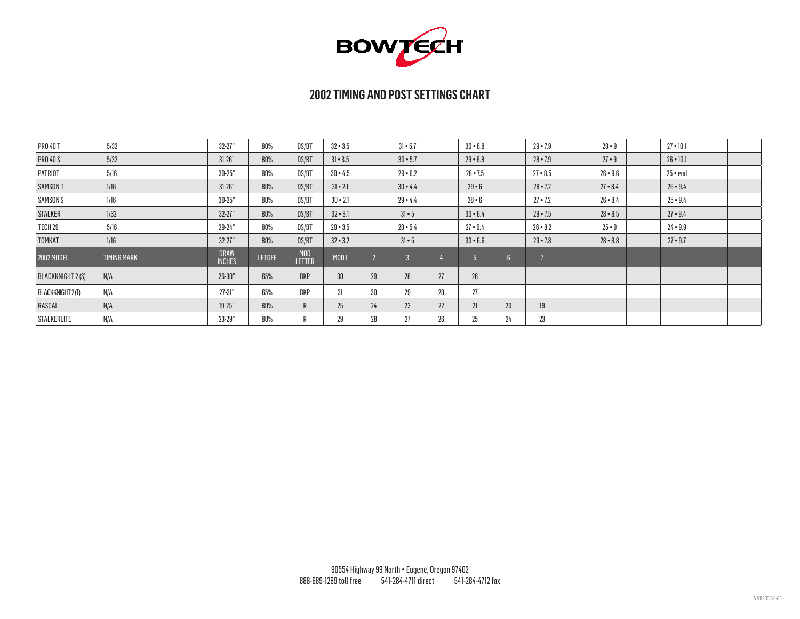

| <b>PRO 40 T</b>         | 5/32               | $32 - 27"$                   | 80%           | DS/BT                       | $32 - 3.5$     |    | $31 - 5.7$   |    | $30 - 6.8$ |                 | $29 - 7.9$     | $28 - 9$   | $27 \cdot 10.1$ |  |
|-------------------------|--------------------|------------------------------|---------------|-----------------------------|----------------|----|--------------|----|------------|-----------------|----------------|------------|-----------------|--|
| <b>PRO 40 S</b>         | 5/32               | $31 - 26"$                   | 80%           | DS/BT                       | $31 \cdot 3.5$ |    | $30 - 5.7$   |    | $29 - 6.8$ |                 | $28 - 7.9$     | $27 - 9$   | $26 \cdot 10.1$ |  |
| PATRIOT                 | 5/16               | $30 - 25"$                   | 80%           | DS/BT                       | $30 - 4.5$     |    | $29 - 6.2$   |    | $28 - 7.5$ |                 | $27 - 8.5$     | $26 - 9.6$ | $25 \cdot end$  |  |
| SAMSON T                | 1/16               | $31 - 26"$                   | 80%           | DS/BT                       | $31 \cdot 2.1$ |    | $30 - 4.4$   |    | $29 - 6$   |                 | $28 \cdot 7.2$ | $27 - 8.4$ | $26 - 9.4$      |  |
| <b>SAMSONS</b>          | 1/16               | $30 - 25"$                   | 80%           | DS/BT                       | $30 \cdot 2.1$ |    | $29 - 4.4$   |    | $28 - 6$   |                 | $27 - 7.2$     | $26 - 8.4$ | $25 - 9.4$      |  |
| <b>STALKER</b>          | 1/32               | $32 - 27"$                   | 80%           | DS/BT                       | $32 - 3.1$     |    | $31 \cdot 5$ |    | $30 - 6.4$ |                 | $29 - 7.5$     | $28 - 8.5$ | $27 - 9.4$      |  |
| TECH 29                 | 5/16               | 29-24"                       | 80%           | DS/BT                       | $29 - 3.5$     |    | $28 - 5.4$   |    | $27 - 6.4$ |                 | $26 - 8.2$     | $25 - 9$   | $24 - 9.9$      |  |
| <b>TOMKAT</b>           | 1/16               | $32 - 27"$                   | 80%           | DS/BT                       | $32 - 3.2$     |    | $31 \cdot 5$ |    | $30 - 6.6$ |                 | $29 - 7.8$     | $28 - 8.8$ | $27 - 9.7$      |  |
| 2002 MODEL              | <b>TIMING MARK</b> | <b>DRAW</b><br><b>INCHES</b> | <b>LETOFF</b> | <b>MOD</b><br><b>LETTER</b> | MOD1           |    | $\sqrt{2}$   |    |            |                 | $\overline{z}$ |            |                 |  |
| BLACKKNIGHT 2 (S)       | $\big  N/A$        | $26 - 30"$                   | 65%           | <b>BKP</b>                  | 30             | 29 | 28           | 27 | 26         |                 |                |            |                 |  |
| <b>BLACKKNIGHT 2(T)</b> | N/A                | $27 - 31"$                   | 65%           | BKP                         | 31             | 30 | 29           | 28 | 27         |                 |                |            |                 |  |
| RASCAL                  | $\vert N/A \vert$  | $19 - 25"$                   | 80%           | $\mathsf{R}$                | 25             | 24 | 23           | 22 | 21         | 20 <sup>°</sup> | 19             |            |                 |  |
| STALKERLITE             | N/A                | 23-29"                       | 80%           |                             | 29             | 28 | 27           | 26 | 25         | 24              | 23             |            |                 |  |